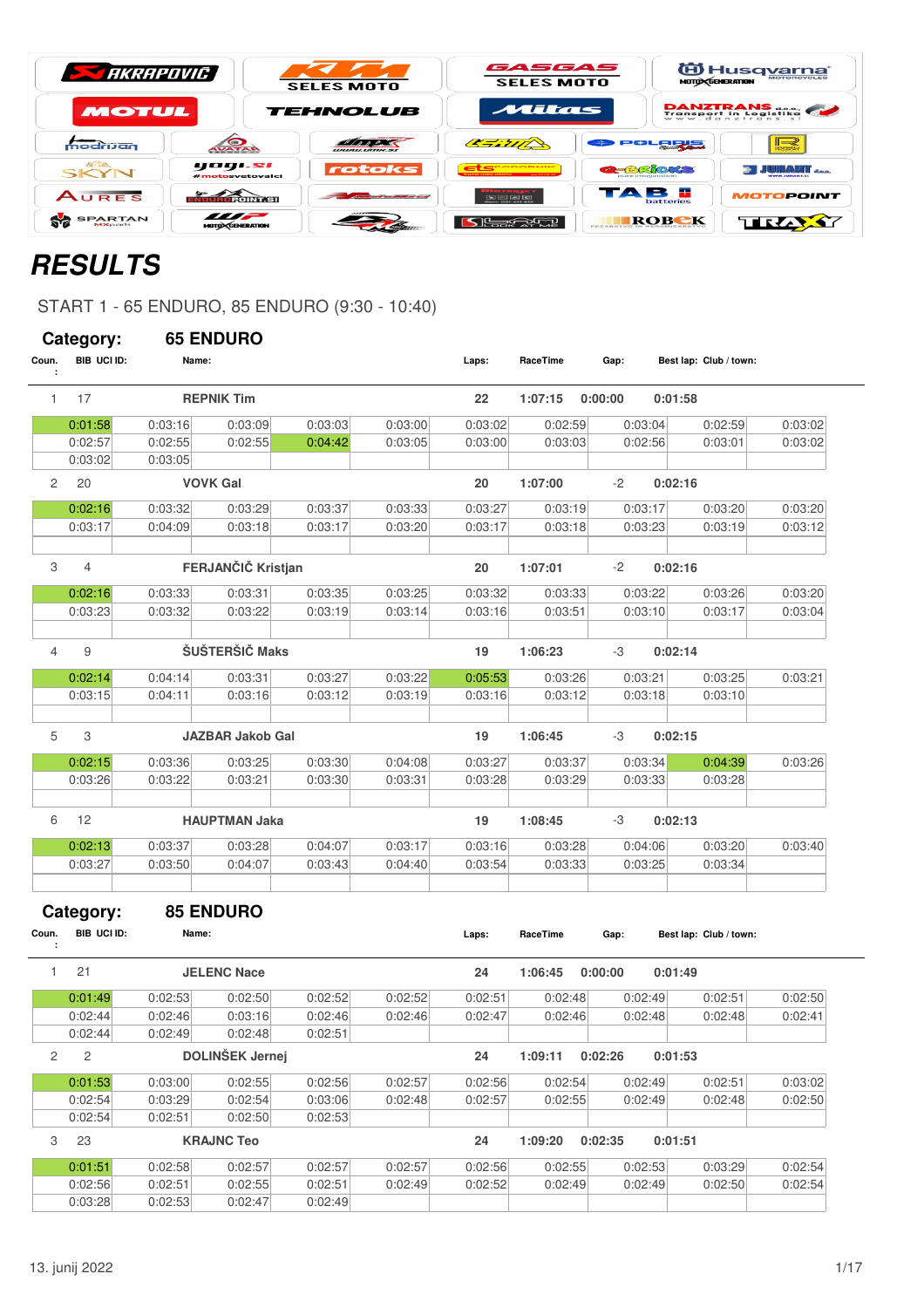| <b>STARRAPOVIC</b>                |                                         | <b>SELES MOTO</b>                      | GASGAS<br><b>SELES MOTO</b>                                 | <b>MOTO CENERATION</b>          | E Husq <u>varna</u> |
|-----------------------------------|-----------------------------------------|----------------------------------------|-------------------------------------------------------------|---------------------------------|---------------------|
| <b>MOTUL</b>                      |                                         | <b>TEHNOLUB</b>                        | Mitas                                                       |                                 | DANZTRANS do.       |
| modrijan                          | AVATAR                                  | <b>WWW.WITIM.SX</b>                    | 47.717                                                      | POLRRE                          | $\prec$<br>3885     |
| <b><i>ase.</i></b><br>SKYN        | yogi.si<br>#motosvetovalci              | rotoks                                 | ets <b>contracts</b><br><b>CONTRACTOR</b>                   | <b>a-BROKS</b>                  | i juhanit jaa       |
| AURES                             | <b>KOUROPOINT SIL</b>                   | the property of the first party of the | $\boxed{5}$ $\boxed{2}$ $\boxed{6}$ $\boxed{6}$ $\boxed{6}$ | <b>STARK</b><br>в.<br>batteries | <b>MOTOPOINT</b>    |
| <b>SPARTAN</b><br><b>MX</b> parts | $\frac{1}{2}$<br><b>MOTO CENERATION</b> |                                        | l <del>es</del> tria                                        | ROBEK<br><b>PECARSTVO IN</b>    | TRAY                |

# **RESULTS**

START 1 - 65 ENDURO, 85 ENDURO (9:30 - 10:40)

|                | Category:                       |         | <b>65 ENDURO</b>        |         |         |         |          |         |                        |         |         |
|----------------|---------------------------------|---------|-------------------------|---------|---------|---------|----------|---------|------------------------|---------|---------|
| Coun.<br>÷     | BIB UCI ID:                     | Name:   |                         |         |         | Laps:   | RaceTime | Gap:    | Best lap: Club / town: |         |         |
| $\mathbf{1}$   | 17                              |         | <b>REPNIK Tim</b>       |         |         | 22      | 1:07:15  | 0:00:00 | 0:01:58                |         |         |
|                | 0:01:58                         | 0:03:16 | 0:03:09                 | 0:03:03 | 0:03:00 | 0:03:02 | 0:02:59  | 0:03:04 |                        | 0:02:59 | 0:03:02 |
|                | 0:02:57                         | 0:02:55 | 0:02:55                 | 0:04:42 | 0:03:05 | 0:03:00 | 0:03:03  | 0:02:56 |                        | 0:03:01 | 0:03:02 |
|                | 0:03:02                         | 0:03:05 |                         |         |         |         |          |         |                        |         |         |
| $\overline{c}$ | 20                              |         | <b>VOVK Gal</b>         |         |         | 20      | 1:07:00  | $-2$    | 0:02:16                |         |         |
|                | 0:02:16                         | 0:03:32 | 0:03:29                 | 0:03:37 | 0:03:33 | 0:03:27 | 0:03:19  | 0:03:17 |                        | 0:03:20 | 0:03:20 |
|                | 0:03:17                         | 0:04:09 | 0:03:18                 | 0:03:17 | 0:03:20 | 0:03:17 | 0:03:18  | 0:03:23 |                        | 0:03:19 | 0:03:12 |
|                |                                 |         |                         |         |         |         |          |         |                        |         |         |
| 3              | 4                               |         | FERJANČIČ Kristjan      |         |         | 20      | 1:07:01  | $-2$    | 0:02:16                |         |         |
|                | 0:02:16                         | 0:03:33 | 0:03:31                 | 0:03:35 | 0:03:25 | 0:03:32 | 0:03:33  | 0:03:22 |                        | 0:03:26 | 0:03:20 |
|                | 0:03:23                         | 0:03:32 | 0:03:22                 | 0:03:19 | 0:03:14 | 0:03:16 | 0:03:51  | 0:03:10 |                        | 0:03:17 | 0:03:04 |
|                |                                 |         |                         |         |         |         |          |         |                        |         |         |
| 4              | 9                               |         | ŠUŠTERŠIČ Maks          |         |         | 19      | 1:06:23  | -3      | 0:02:14                |         |         |
|                | 0:02:14                         | 0:04:14 | 0:03:31                 | 0:03:27 | 0:03:22 | 0:05:53 | 0:03:26  | 0:03:21 |                        | 0:03:25 | 0:03:21 |
|                | 0:03:15                         | 0:04:11 | 0:03:16                 | 0:03:12 | 0:03:19 | 0:03:16 | 0:03:12  | 0:03:18 |                        | 0:03:10 |         |
|                |                                 |         |                         |         |         |         |          |         |                        |         |         |
| 5              | 3                               |         | <b>JAZBAR Jakob Gal</b> |         |         | 19      | 1:06:45  | -3      | 0:02:15                |         |         |
|                | 0:02:15                         | 0:03:36 | 0:03:25                 | 0:03:30 | 0:04:08 | 0:03:27 | 0:03:37  | 0:03:34 |                        | 0:04:39 | 0:03:26 |
|                | 0:03:26                         | 0:03:22 | 0:03:21                 | 0:03:30 | 0:03:31 | 0:03:28 | 0:03:29  | 0:03:33 |                        | 0:03:28 |         |
|                |                                 |         |                         |         |         |         |          |         |                        |         |         |
| 6              | 12                              |         | <b>HAUPTMAN Jaka</b>    |         |         | 19      | 1:08:45  | -3      | 0:02:13                |         |         |
|                | 0:02:13                         | 0:03:37 | 0:03:28                 | 0:04:07 | 0:03:17 | 0:03:16 | 0:03:28  | 0:04:06 |                        | 0:03:20 | 0:03:40 |
|                | 0:03:27                         | 0:03:50 | 0:04:07                 | 0:03:43 | 0:04:40 | 0:03:54 | 0:03:33  | 0:03:25 |                        | 0:03:34 |         |
|                |                                 |         |                         |         |         |         |          |         |                        |         |         |
| Coun.          | Category:<br><b>BIB UCI ID:</b> | Name:   | <b>85 ENDURO</b>        |         |         |         | RaceTime |         |                        |         |         |
| ÷              |                                 |         |                         |         |         | Laps:   |          | Gap:    | Best lap: Club / town: |         |         |
| 1              | 21                              |         | <b>JELENC Nace</b>      |         |         | 24      | 1:06:45  | 0:00:00 | 0:01:49                |         |         |
|                | 0:01:49                         | 0:02:53 | 0:02:50                 | 0:02:52 | 0:02:52 | 0:02:51 | 0:02:48  | 0:02:49 |                        | 0:02:51 | 0:02:50 |
|                | 0:02:44                         | 0:02:46 | 0:03:16                 | 0:02:46 | 0:02:46 | 0:02:47 | 0:02:46  | 0:02:48 |                        | 0:02:48 | 0:02:41 |
|                | 0:02:44                         | 0:02:49 | 0:02:48                 | 0:02:51 |         |         |          |         |                        |         |         |
| $\overline{2}$ | $\overline{c}$                  |         | <b>DOLINŠEK Jernej</b>  |         |         | 24      | 1:09:11  | 0:02:26 | 0:01:53                |         |         |
|                | 0:01:53                         | 0:03:00 | 0:02:55                 | 0:02:56 | 0:02:57 | 0:02:56 | 0:02:54  | 0:02:49 |                        | 0:02:51 | 0:03:02 |
|                | 0:02:54                         | 0:03:29 | 0:02:54                 | 0:03:06 | 0:02:48 | 0:02:57 | 0:02:55  | 0:02:49 |                        | 0:02:48 | 0:02:50 |
|                | 0:02:54                         | 0:02:51 | 0:02:50                 | 0:02:53 |         |         |          |         |                        |         |         |
| 3              | 23                              |         | <b>KRAJNC Teo</b>       |         |         | 24      | 1:09:20  | 0:02:35 | 0:01:51                |         |         |
|                | 0:01:51                         | 0:02:58 | 0:02:57                 | 0:02:57 | 0:02:57 | 0:02:56 | 0:02:55  | 0:02:53 |                        | 0:03:29 | 0:02:54 |
|                | 0:02:56                         | 0:02:51 | 0:02:55                 | 0:02:51 | 0:02:49 | 0:02:52 | 0:02:49  | 0:02:49 |                        | 0:02:50 | 0:02:54 |
|                | 0:03:28                         | 0:02:53 | 0:02:47                 | 0:02:49 |         |         |          |         |                        |         |         |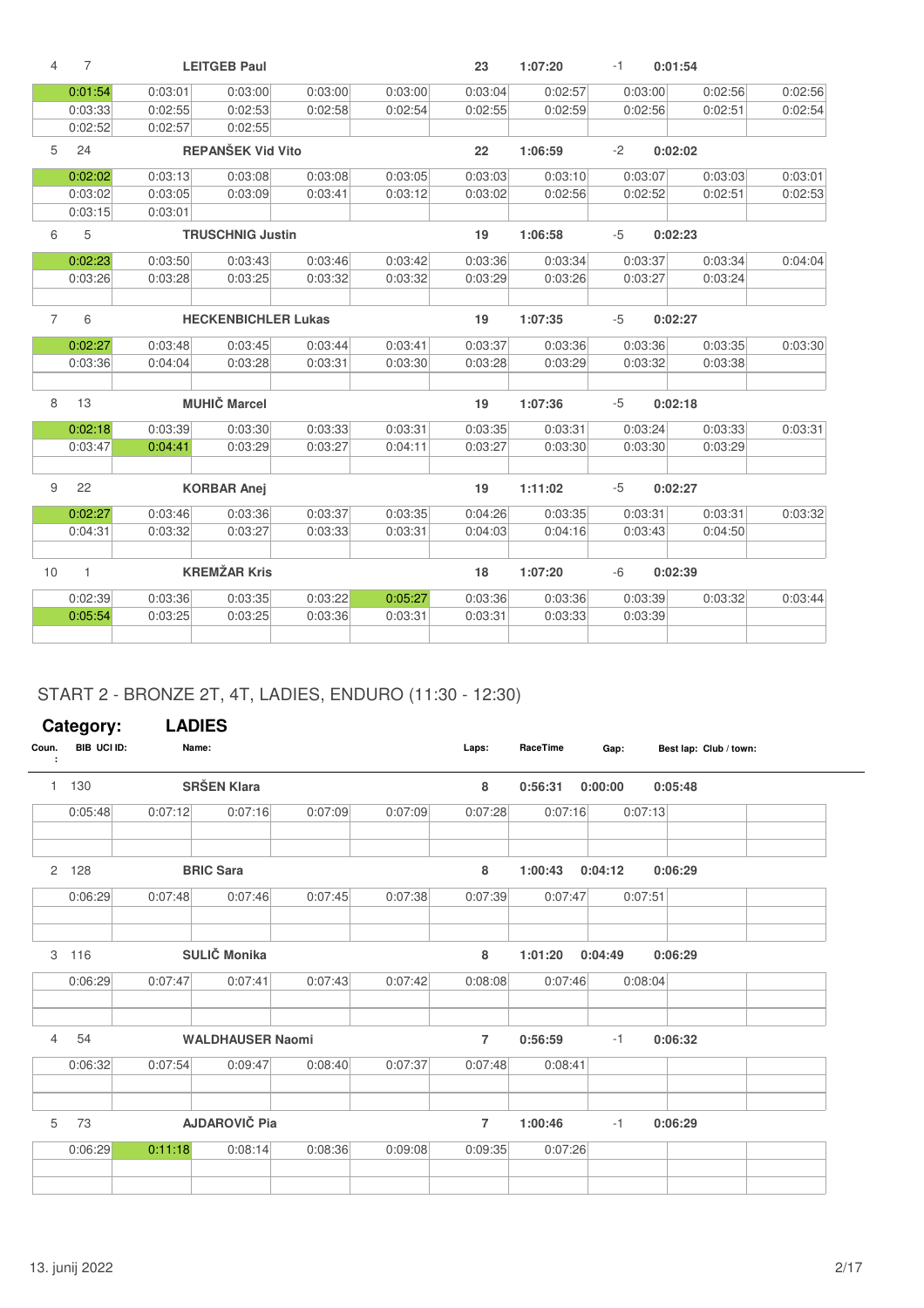| 4              | 7            |         | <b>LEITGEB Paul</b>        |         |         | 23      | 1:07:20 | $-1$ | 0:01:54 |         |         |
|----------------|--------------|---------|----------------------------|---------|---------|---------|---------|------|---------|---------|---------|
|                | 0:01:54      | 0:03:01 | 0:03:00                    | 0:03:00 | 0:03:00 | 0:03:04 | 0:02:57 |      | 0:03:00 | 0:02:56 | 0:02:56 |
|                | 0:03:33      | 0:02:55 | 0:02:53                    | 0:02:58 | 0:02:54 | 0:02:55 | 0:02:59 |      | 0:02:56 | 0:02:51 | 0:02:54 |
|                | 0:02:52      | 0:02:57 | 0:02:55                    |         |         |         |         |      |         |         |         |
| 5              | 24           |         | <b>REPANŠEK Vid Vito</b>   |         |         | 22      | 1:06:59 | $-2$ | 0:02:02 |         |         |
|                | 0:02:02      | 0:03:13 | 0:03:08                    | 0:03:08 | 0:03:05 | 0:03:03 | 0:03:10 |      | 0:03:07 | 0:03:03 | 0:03:01 |
|                | 0:03:02      | 0:03:05 | 0:03:09                    | 0:03:41 | 0:03:12 | 0:03:02 | 0:02:56 |      | 0:02:52 | 0:02:51 | 0:02:53 |
|                | 0:03:15      | 0:03:01 |                            |         |         |         |         |      |         |         |         |
| 6              | 5            |         | <b>TRUSCHNIG Justin</b>    |         |         | 19      | 1:06:58 | $-5$ | 0:02:23 |         |         |
|                | 0:02:23      | 0:03:50 | 0:03:43                    | 0:03:46 | 0:03:42 | 0:03:36 | 0:03:34 |      | 0:03:37 | 0:03:34 | 0:04:04 |
|                | 0:03:26      | 0:03:28 | 0:03:25                    | 0:03:32 | 0:03:32 | 0:03:29 | 0:03:26 |      | 0:03:27 | 0:03:24 |         |
|                |              |         |                            |         |         |         |         |      |         |         |         |
| $\overline{7}$ | 6            |         | <b>HECKENBICHLER Lukas</b> |         |         | 19      | 1:07:35 | $-5$ | 0:02:27 |         |         |
|                | 0:02:27      | 0:03:48 | 0:03:45                    | 0:03:44 | 0:03:41 | 0:03:37 | 0:03:36 |      | 0:03:36 | 0:03:35 | 0:03:30 |
|                | 0:03:36      | 0:04:04 | 0:03:28                    | 0:03:31 | 0:03:30 | 0:03:28 | 0:03:29 |      | 0:03:32 | 0:03:38 |         |
|                |              |         |                            |         |         |         |         |      |         |         |         |
| 8              | 13           |         | <b>MUHIČ Marcel</b>        |         |         | 19      | 1:07:36 | $-5$ | 0:02:18 |         |         |
|                | 0:02:18      | 0:03:39 | 0:03:30                    | 0:03:33 | 0:03:31 | 0:03:35 | 0:03:31 |      | 0:03:24 | 0:03:33 | 0:03:31 |
|                | 0:03:47      | 0:04:41 | 0:03:29                    | 0:03:27 | 0:04:11 | 0:03:27 | 0:03:30 |      | 0:03:30 | 0:03:29 |         |
|                |              |         |                            |         |         |         |         |      |         |         |         |
| 9              | 22           |         | <b>KORBAR Anej</b>         |         |         | 19      | 1:11:02 | $-5$ | 0:02:27 |         |         |
|                | 0:02:27      | 0:03:46 | 0:03:36                    | 0:03:37 | 0:03:35 | 0:04:26 | 0:03:35 |      | 0:03:31 | 0:03:31 | 0:03:32 |
|                | 0:04:31      | 0:03:32 | 0:03:27                    | 0:03:33 | 0:03:31 | 0:04:03 | 0:04:16 |      | 0:03:43 | 0:04:50 |         |
|                |              |         |                            |         |         |         |         |      |         |         |         |
| 10             | $\mathbf{1}$ |         | <b>KREMŽAR Kris</b>        |         |         | 18      | 1:07:20 | $-6$ | 0:02:39 |         |         |
|                | 0:02:39      | 0:03:36 | 0:03:35                    | 0:03:22 | 0:05:27 | 0:03:36 | 0:03:36 |      | 0:03:39 | 0:03:32 | 0:03:44 |
|                | 0:05:54      | 0:03:25 | 0:03:25                    | 0:03:36 | 0:03:31 | 0:03:31 | 0:03:33 |      | 0:03:39 |         |         |
|                |              |         |                            |         |         |         |         |      |         |         |         |

## START 2 - BRONZE 2T, 4T, LADIES, ENDURO (11:30 - 12:30)

|                | Category:   | <b>LADIES</b> |                         |         |         |                |          |         |         |                        |
|----------------|-------------|---------------|-------------------------|---------|---------|----------------|----------|---------|---------|------------------------|
| Coun.<br>÷     | BIB UCI ID: | Name:         |                         |         |         | Laps:          | RaceTime | Gap:    |         | Best lap: Club / town: |
| $\mathbf{1}$   | 130         |               | <b>SRŠEN Klara</b>      |         |         | 8              | 0:56:31  | 0:00:00 | 0:05:48 |                        |
|                | 0:05:48     | 0:07:12       | 0:07:16                 | 0:07:09 | 0:07:09 | 0:07:28        | 0:07:16  |         | 0:07:13 |                        |
| $\overline{2}$ | 128         |               | <b>BRIC Sara</b>        |         |         | 8              | 1:00:43  | 0:04:12 | 0:06:29 |                        |
|                | 0:06:29     | 0:07:48       | 0:07:46                 | 0:07:45 | 0:07:38 | 0:07:39        | 0:07:47  |         | 0:07:51 |                        |
| 3              | 116         |               | SULIČ Monika            |         |         | 8              | 1:01:20  | 0:04:49 | 0:06:29 |                        |
|                | 0:06:29     | 0:07:47       | 0:07:41                 | 0:07:43 | 0:07:42 | 0:08:08        | 0:07:46  |         | 0:08:04 |                        |
| $\overline{4}$ | 54          |               | <b>WALDHAUSER Naomi</b> |         |         | $\overline{7}$ | 0:56:59  | $-1$    | 0:06:32 |                        |
|                | 0:06:32     | 0:07:54       | 0:09:47                 | 0:08:40 | 0:07:37 | 0:07:48        | 0:08:41  |         |         |                        |
| 5              | 73          |               | <b>AJDAROVIČ Pia</b>    |         |         | $\overline{7}$ | 1:00:46  | $-1$    | 0:06:29 |                        |
|                | 0:06:29     | 0:11:18       | 0:08:14                 | 0:08:36 | 0:09:08 | 0:09:35        | 0:07:26  |         |         |                        |
|                |             |               |                         |         |         |                |          |         |         |                        |

 $\sim$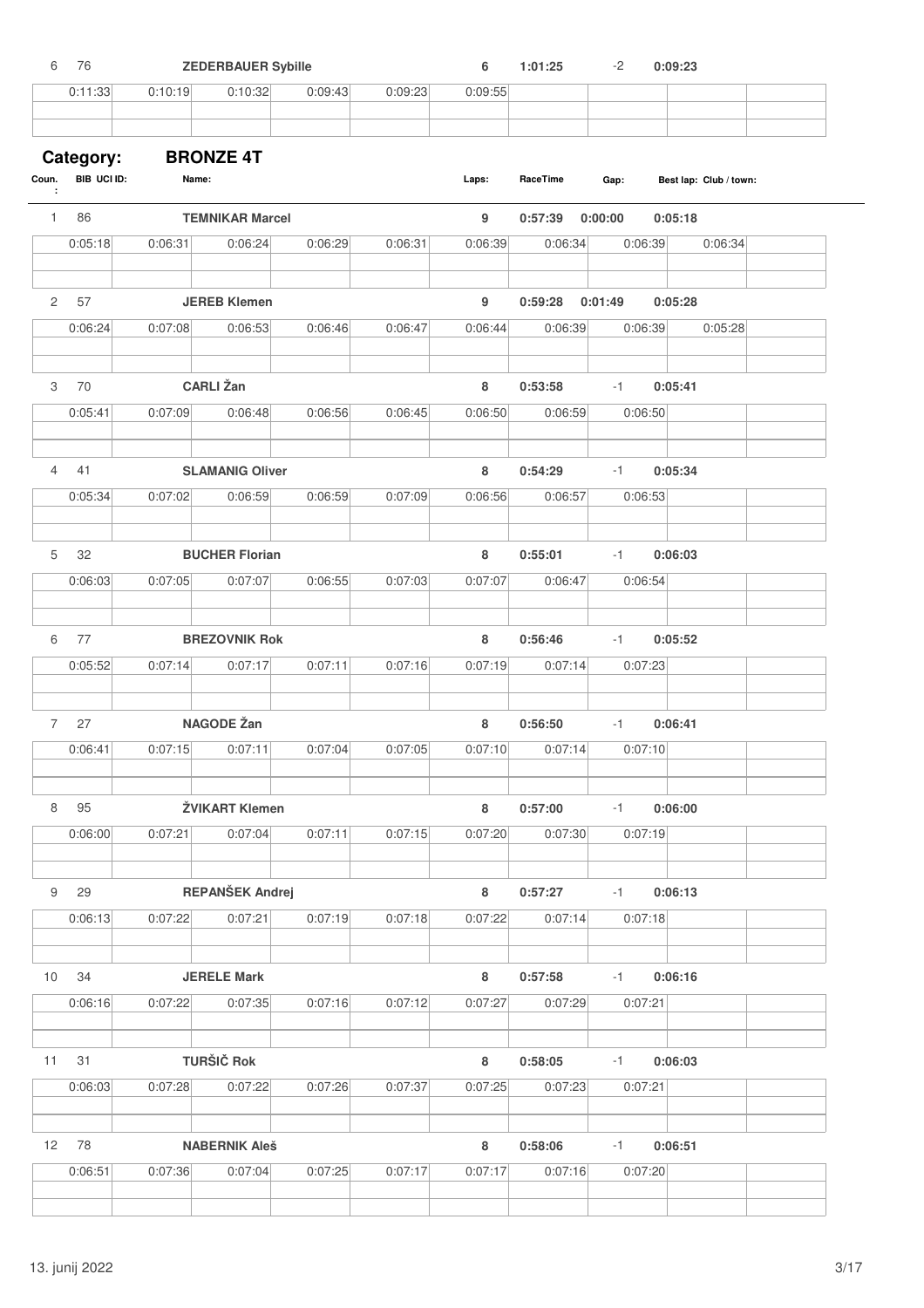| 6               | 76                       |         | <b>ZEDERBAUER Sybille</b> |         |         | 6       | 1:01:25  | $-2$    | 0:09:23                |  |
|-----------------|--------------------------|---------|---------------------------|---------|---------|---------|----------|---------|------------------------|--|
|                 | 0:11:33                  | 0:10:19 | 0:10:32                   | 0:09:43 | 0:09:23 | 0:09:55 |          |         |                        |  |
|                 |                          |         |                           |         |         |         |          |         |                        |  |
|                 |                          |         | <b>BRONZE 4T</b>          |         |         |         |          |         |                        |  |
| Coun.<br>÷      | Category:<br>BIB UCI ID: | Name:   |                           |         |         | Laps:   | RaceTime | Gap:    | Best lap: Club / town: |  |
| $\mathbf{1}$    | 86                       |         | <b>TEMNIKAR Marcel</b>    |         |         | 9       | 0:57:39  | 0:00:00 | 0:05:18                |  |
|                 | 0:05:18                  | 0:06:31 | 0:06:24                   | 0:06:29 | 0:06:31 | 0:06:39 | 0:06:34  | 0:06:39 | 0:06:34                |  |
| $\overline{2}$  | 57                       |         | <b>JEREB Klemen</b>       |         |         | 9       | 0:59:28  | 0:01:49 | 0:05:28                |  |
|                 | 0:06:24                  | 0:07:08 | 0:06:53                   | 0:06:46 | 0:06:47 | 0:06:44 | 0:06:39  | 0:06:39 | 0:05:28                |  |
|                 |                          |         |                           |         |         |         |          |         |                        |  |
| 3               | 70                       |         | <b>CARLI</b> Žan          |         |         | 8       | 0:53:58  | $-1$    | 0:05:41                |  |
|                 | 0:05:41                  | 0:07:09 | 0:06:48                   | 0:06:56 | 0:06:45 | 0:06:50 | 0:06:59  | 0:06:50 |                        |  |
|                 |                          |         |                           |         |         |         |          |         |                        |  |
| 4               | 41                       |         | <b>SLAMANIG Oliver</b>    |         |         | 8       | 0:54:29  | $-1$    | 0:05:34                |  |
|                 | 0:05:34                  | 0:07:02 | 0:06:59                   | 0:06:59 | 0:07:09 | 0:06:56 | 0:06:57  | 0:06:53 |                        |  |
|                 |                          |         |                           |         |         |         |          |         |                        |  |
| 5               | 32                       |         | <b>BUCHER Florian</b>     |         |         | 8       | 0:55:01  | $-1$    | 0:06:03                |  |
|                 | 0:06:03                  | 0:07:05 | 0:07:07                   | 0:06:55 | 0:07:03 | 0:07:07 | 0:06:47  | 0:06:54 |                        |  |
| 6               | 77                       |         | <b>BREZOVNIK Rok</b>      |         |         | 8       | 0:56:46  | $-1$    | 0:05:52                |  |
|                 | 0:05:52                  | 0:07:14 | 0:07:17                   | 0:07:11 | 0:07:16 | 0:07:19 | 0:07:14  | 0:07:23 |                        |  |
|                 |                          |         |                           |         |         |         |          |         |                        |  |
| $7^{\circ}$     | 27                       |         | <b>NAGODE Žan</b>         |         |         | 8       | 0:56:50  | $-1$    | 0:06:41                |  |
|                 | 0:06:41                  | 0:07:15 | 0:07:11                   | 0:07:04 | 0:07:05 | 0:07:10 | 0:07:14  | 0:07:10 |                        |  |
| 8               | 95                       |         | ŽVIKART Klemen            |         |         | 8       | 0:57:00  | $-1$    | 0:06:00                |  |
|                 | 0:06:00                  | 0:07:21 | 0:07:04                   | 0:07:11 | 0:07:15 | 0:07:20 | 0:07:30  | 0:07:19 |                        |  |
| 9               | 29                       |         | REPANŠEK Andrej           |         |         | 8       | 0:57:27  | $-1$    | 0:06:13                |  |
|                 | 0:06:13                  | 0:07:22 | 0:07:21                   | 0:07:19 | 0:07:18 | 0:07:22 | 0:07:14  | 0:07:18 |                        |  |
|                 |                          |         |                           |         |         |         |          |         |                        |  |
| 10              | 34                       |         | <b>JERELE Mark</b>        |         |         | 8       | 0:57:58  | $-1$    | 0:06:16                |  |
|                 | 0:06:16                  | 0:07:22 | 0:07:35                   | 0:07:16 | 0:07:12 | 0:07:27 | 0:07:29  | 0:07:21 |                        |  |
|                 |                          |         |                           |         |         |         |          |         |                        |  |
| 11              | 31                       |         | <b>TURŠIČ Rok</b>         |         |         | 8       | 0:58:05  | $-1$    | 0:06:03                |  |
|                 | 0:06:03                  | 0:07:28 | 0:07:22                   | 0:07:26 | 0:07:37 | 0:07:25 | 0:07:23  | 0:07:21 |                        |  |
|                 | 78                       |         |                           |         |         |         |          |         |                        |  |
| 12 <sup>2</sup> |                          | 0:07:36 | <b>NABERNIK Aleš</b>      |         |         | 8       | 0:58:06  | $-1$    | 0:06:51                |  |
|                 | 0:06:51                  |         | 0:07:04                   | 0:07:25 | 0:07:17 | 0:07:17 | 0:07:16  | 0:07:20 |                        |  |
|                 |                          |         |                           |         |         |         |          |         |                        |  |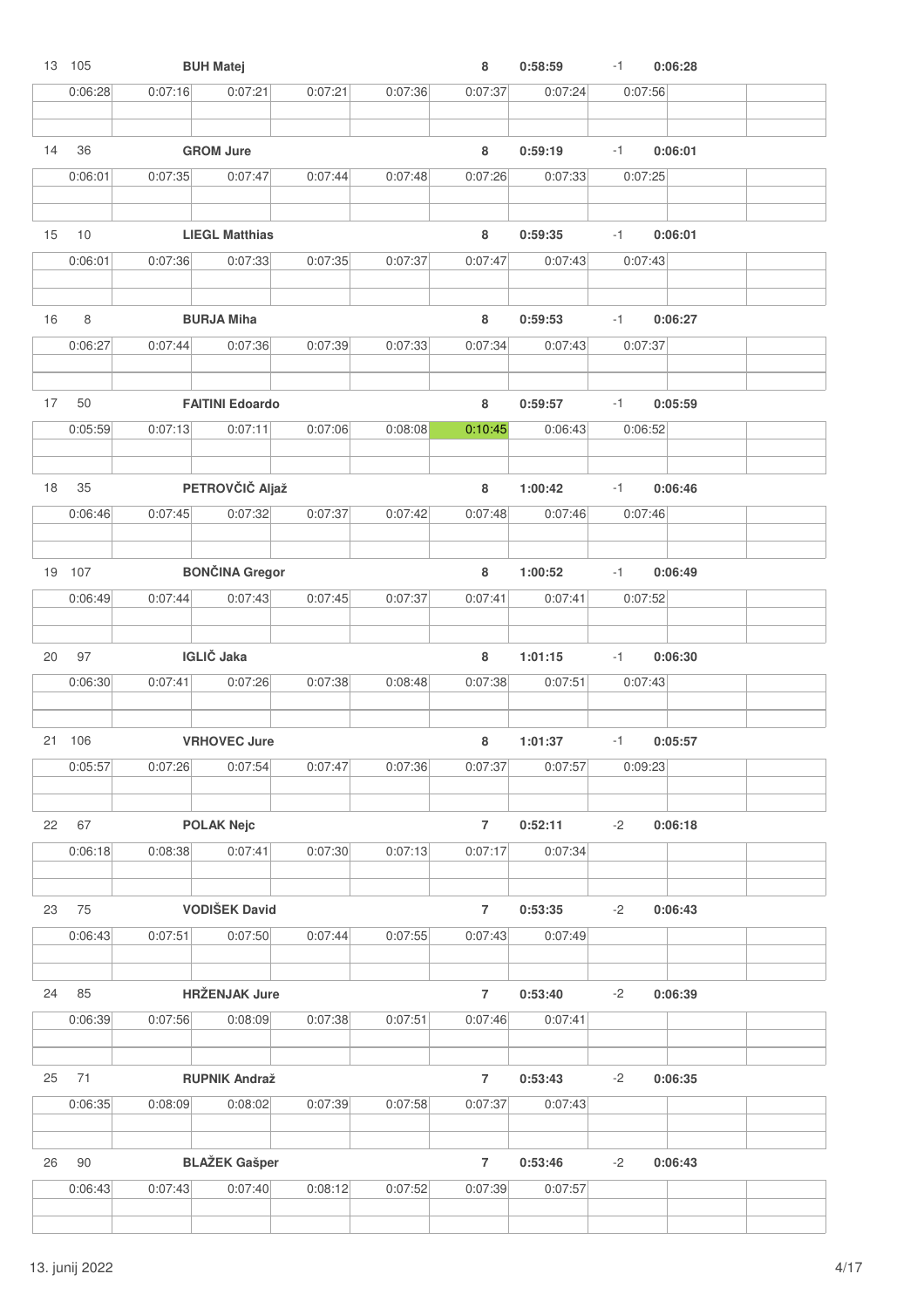|    | 13 105  |         | <b>BUH Matej</b>       |         |         | 8              | 0:58:59            | $-1$ | 0:06:28 |  |
|----|---------|---------|------------------------|---------|---------|----------------|--------------------|------|---------|--|
|    | 0:06:28 | 0:07:16 | 0:07:21                | 0:07:21 | 0:07:36 | 0:07:37        | 0:07:24            |      | 0:07:56 |  |
| 14 | 36      |         | <b>GROM Jure</b>       |         |         | 8              | 0:59:19            | $-1$ | 0:06:01 |  |
|    | 0:06:01 | 0:07:35 | 0:07:47                | 0:07:44 | 0:07:48 | 0:07:26        | 0:07:33            |      | 0:07:25 |  |
| 15 | 10      |         | <b>LIEGL Matthias</b>  |         |         | 8              | 0:59:35            | $-1$ | 0:06:01 |  |
|    | 0:06:01 | 0:07:36 | 0:07:33                | 0:07:35 | 0:07:37 | 0:07:47        | 0:07:43            |      | 0:07:43 |  |
| 16 | 8       |         | <b>BURJA Miha</b>      |         |         | 8              | 0:59:53            | $-1$ | 0:06:27 |  |
|    | 0:06:27 | 0:07:44 | 0:07:36                | 0:07:39 | 0:07:33 | 0:07:34        | 0:07:43            |      | 0:07:37 |  |
| 17 | 50      |         | <b>FAITINI Edoardo</b> |         |         | 8              | 0:59:57            | $-1$ | 0:05:59 |  |
|    | 0:05:59 | 0:07:13 | 0:07:11                | 0:07:06 | 0:08:08 | 0:10:45        | 0:06:43            |      | 0:06:52 |  |
| 18 | 35      |         | PETROVČIČ Aljaž        |         |         | 8              | 1:00:42            | $-1$ | 0:06:46 |  |
|    | 0:06:46 | 0:07:45 | 0:07:32                | 0:07:37 | 0:07:42 | 0:07:48        | 0:07:46            |      | 0:07:46 |  |
|    | 19 107  |         | <b>BONČINA Gregor</b>  |         |         | 8              | 1:00:52            | $-1$ | 0:06:49 |  |
|    | 0:06:49 | 0:07:44 | 0:07:43                | 0:07:45 | 0:07:37 | 0:07:41        | 0:07:41            |      | 0:07:52 |  |
| 20 | 97      |         | <b>IGLIČ</b> Jaka      |         |         | 8              | 1:01:15            | $-1$ | 0:06:30 |  |
|    | 0:06:30 | 0:07:41 | 0:07:26                | 0:07:38 | 0:08:48 | 0:07:38        | 0:07:51            |      | 0:07:43 |  |
|    | 21 106  |         | <b>VRHOVEC Jure</b>    |         |         | 8              | 1:01:37            | $-1$ | 0:05:57 |  |
|    | 0:05:57 | 0:07:26 | 0:07:54                | 0:07:47 | 0:07:36 | 0:07:37        | 0:07:57            |      | 0:09:23 |  |
| 22 | 67      |         | <b>POLAK Nejc</b>      |         |         | $\overline{7}$ | 0:52:11            | $-2$ | 0:06:18 |  |
|    | 0:06:18 | 0:08:38 | 0:07:41                | 0:07:30 | 0:07:13 | 0:07:17        | 0:07:34            |      |         |  |
| 23 | 75      |         | <b>VODIŠEK David</b>   |         |         | $\overline{7}$ | 0:53:35            | $-2$ | 0:06:43 |  |
|    | 0:06:43 | 0:07:51 | 0:07:50                | 0:07:44 | 0:07:55 | 0:07:43        | 0:07:49            |      |         |  |
| 24 | 85      |         | <b>HRŽENJAK Jure</b>   |         |         | $\overline{7}$ | 0:53:40            | $-2$ | 0:06:39 |  |
|    | 0:06:39 | 0:07:56 | 0:08:09                | 0:07:38 | 0:07:51 | 0:07:46        | 0:07:41            |      |         |  |
| 25 | 71      |         | <b>RUPNIK Andraž</b>   |         |         | $\overline{7}$ | 0:53:43            | $-2$ | 0:06:35 |  |
|    | 0:06:35 | 0:08:09 | 0:08:02                | 0:07:39 | 0:07:58 | 0:07:37        | 0:07:43            |      |         |  |
| 26 | 90      |         | <b>BLAŽEK Gašper</b>   |         |         | $\overline{7}$ |                    | $-2$ |         |  |
|    | 0:06:43 | 0:07:43 | 0:07:40                | 0:08:12 | 0:07:52 | 0:07:39        | 0:53:46<br>0:07:57 |      | 0:06:43 |  |
|    |         |         |                        |         |         |                |                    |      |         |  |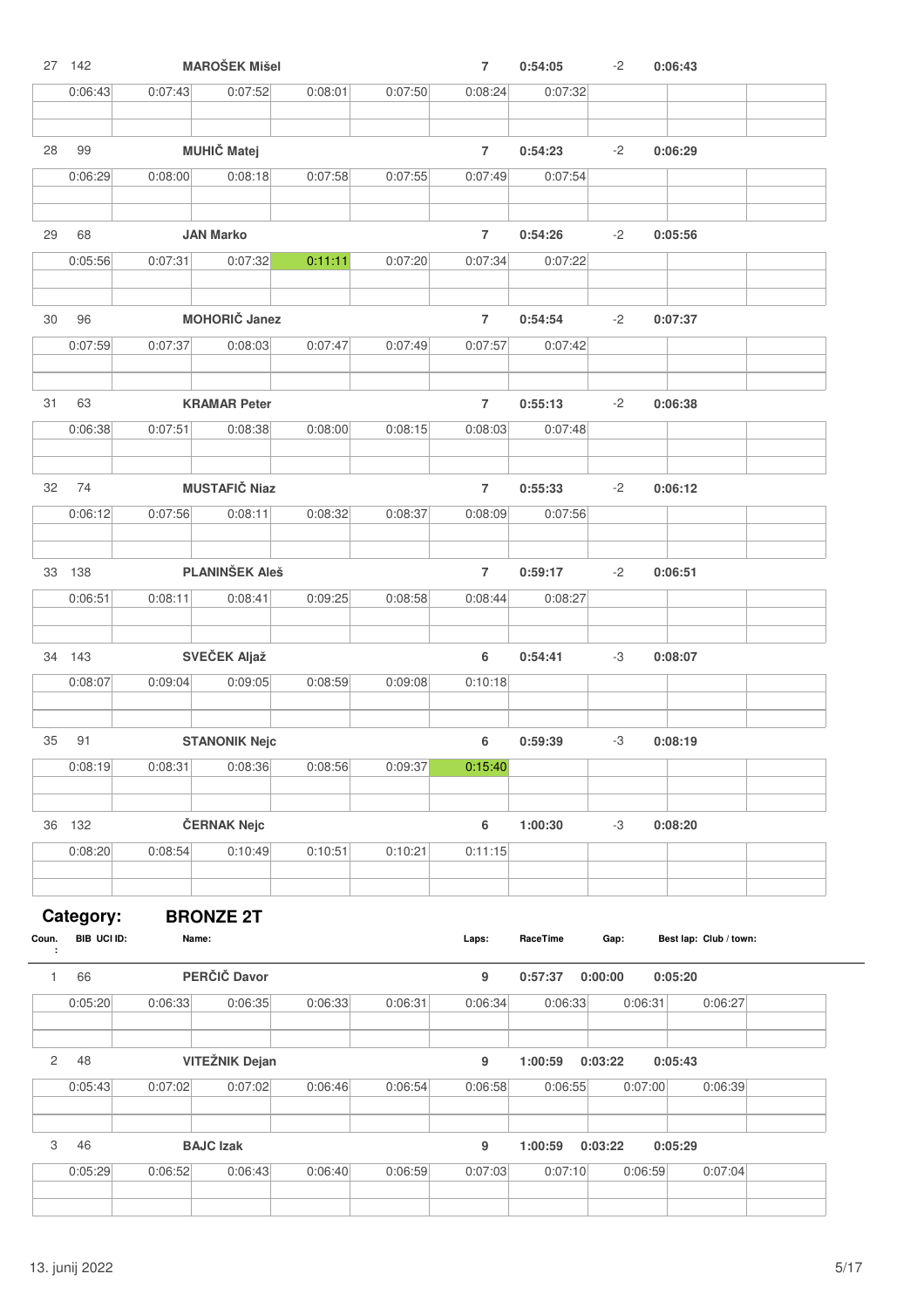|              | 27 142      |         | <b>MAROŠEK Mišel</b>  |         |         | $\overline{7}$ | 0:54:05  | $-2$    | 0:06:43                |
|--------------|-------------|---------|-----------------------|---------|---------|----------------|----------|---------|------------------------|
|              | 0:06:43     | 0:07:43 | 0:07:52               | 0:08:01 | 0:07:50 | 0:08:24        | 0:07:32  |         |                        |
|              |             |         |                       |         |         |                |          |         |                        |
| 28           | 99          |         | <b>MUHIČ Matej</b>    |         |         | $\overline{7}$ | 0:54:23  | -2      | 0:06:29                |
|              | 0:06:29     | 0:08:00 | 0:08:18               | 0:07:58 | 0:07:55 | 0:07:49        | 0:07:54  |         |                        |
|              |             |         |                       |         |         |                |          |         |                        |
| 29           | 68          |         | <b>JAN Marko</b>      |         |         | $\overline{7}$ | 0:54:26  | $-2$    | 0:05:56                |
|              | 0:05:56     | 0:07:31 | 0:07:32               | 0:11:11 | 0:07:20 | 0:07:34        | 0:07:22  |         |                        |
|              |             |         |                       |         |         |                |          |         |                        |
|              |             |         |                       |         |         |                |          |         |                        |
| 30           | 96          |         | <b>MOHORIČ Janez</b>  |         |         | $\overline{7}$ | 0:54:54  | $-2$    | 0:07:37                |
|              | 0:07:59     | 0:07:37 | 0:08:03               | 0:07:47 | 0:07:49 | 0:07:57        | 0:07:42  |         |                        |
|              |             |         |                       |         |         |                |          |         |                        |
| 31           | 63          |         | <b>KRAMAR Peter</b>   |         |         | $\overline{7}$ | 0:55:13  | $-2$    | 0:06:38                |
|              | 0:06:38     | 0:07:51 | 0:08:38               | 0:08:00 | 0:08:15 | 0:08:03        | 0:07:48  |         |                        |
|              |             |         |                       |         |         |                |          |         |                        |
| 32           | 74          |         | <b>MUSTAFIČ Niaz</b>  |         |         | $\overline{7}$ | 0:55:33  | $-2$    | 0:06:12                |
|              | 0:06:12     | 0:07:56 | 0:08:11               | 0:08:32 | 0:08:37 | 0:08:09        | 0:07:56  |         |                        |
|              |             |         |                       |         |         |                |          |         |                        |
|              | 33 138      |         | <b>PLANINŠEK Aleš</b> |         |         | $\overline{7}$ | 0:59:17  | $-2$    | 0:06:51                |
|              | 0:06:51     | 0:08:11 | 0:08:41               | 0:09:25 | 0:08:58 | 0:08:44        | 0:08:27  |         |                        |
|              |             |         |                       |         |         |                |          |         |                        |
|              | 34 143      |         | SVEČEK Aljaž          |         |         | 6              | 0:54:41  | -3      | 0:08:07                |
|              | 0:08:07     | 0:09:04 | 0:09:05               | 0:08:59 | 0:09:08 | 0:10:18        |          |         |                        |
|              |             |         |                       |         |         |                |          |         |                        |
|              |             |         |                       |         |         |                |          |         |                        |
| 35           | 91          |         | <b>STANONIK Nejc</b>  |         |         | 6              | 0:59:39  | -3      | 0:08:19                |
|              | 0:08:19     | 0:08:31 | 0:08:36               | 0:08:56 | 0:09:37 | 0:15:40        |          |         |                        |
|              |             |         |                       |         |         |                |          |         |                        |
|              | 36 132      |         | ČERNAK Nejc           |         |         | 6              | 1:00:30  | $-3$    | 0:08:20                |
|              | 0:08:20     | 0:08:54 | 0:10:49               | 0:10:51 | 0:10:21 | 0:11:15        |          |         |                        |
|              |             |         |                       |         |         |                |          |         |                        |
|              | Category:   |         | <b>BRONZE 2T</b>      |         |         |                |          |         |                        |
| Coun.        | BIB UCI ID: | Name:   |                       |         |         | Laps:          | RaceTime | Gap:    | Best lap: Club / town: |
| $\mathbf{1}$ | 66          |         | PERČIČ Davor          |         |         | 9              | 0:57:37  | 0:00:00 | 0:05:20                |
|              | 0:05:20     | 0:06:33 | 0:06:35               | 0:06:33 | 0:06:31 | 0:06:34        | 0:06:33  | 0:06:31 | 0:06:27                |
|              |             |         |                       |         |         |                |          |         |                        |
| $\mathbf{2}$ | 48          |         | <b>VITEŽNIK Dejan</b> |         |         | 9              | 1:00:59  | 0:03:22 | 0:05:43                |
|              | 0:05:43     | 0:07:02 | 0:07:02               | 0:06:46 | 0:06:54 | 0:06:58        | 0:06:55  | 0:07:00 | 0:06:39                |
|              |             |         |                       |         |         |                |          |         |                        |
|              |             |         |                       |         |         |                |          |         |                        |
| 3            | 46          |         | <b>BAJC Izak</b>      |         |         | 9              | 1:00:59  | 0:03:22 | 0:05:29                |
|              | 0:05:29     | 0:06:52 | 0:06:43               | 0:06:40 | 0:06:59 | 0:07:03        | 0:07:10  | 0:06:59 | 0:07:04                |
|              |             |         |                       |         |         |                |          |         |                        |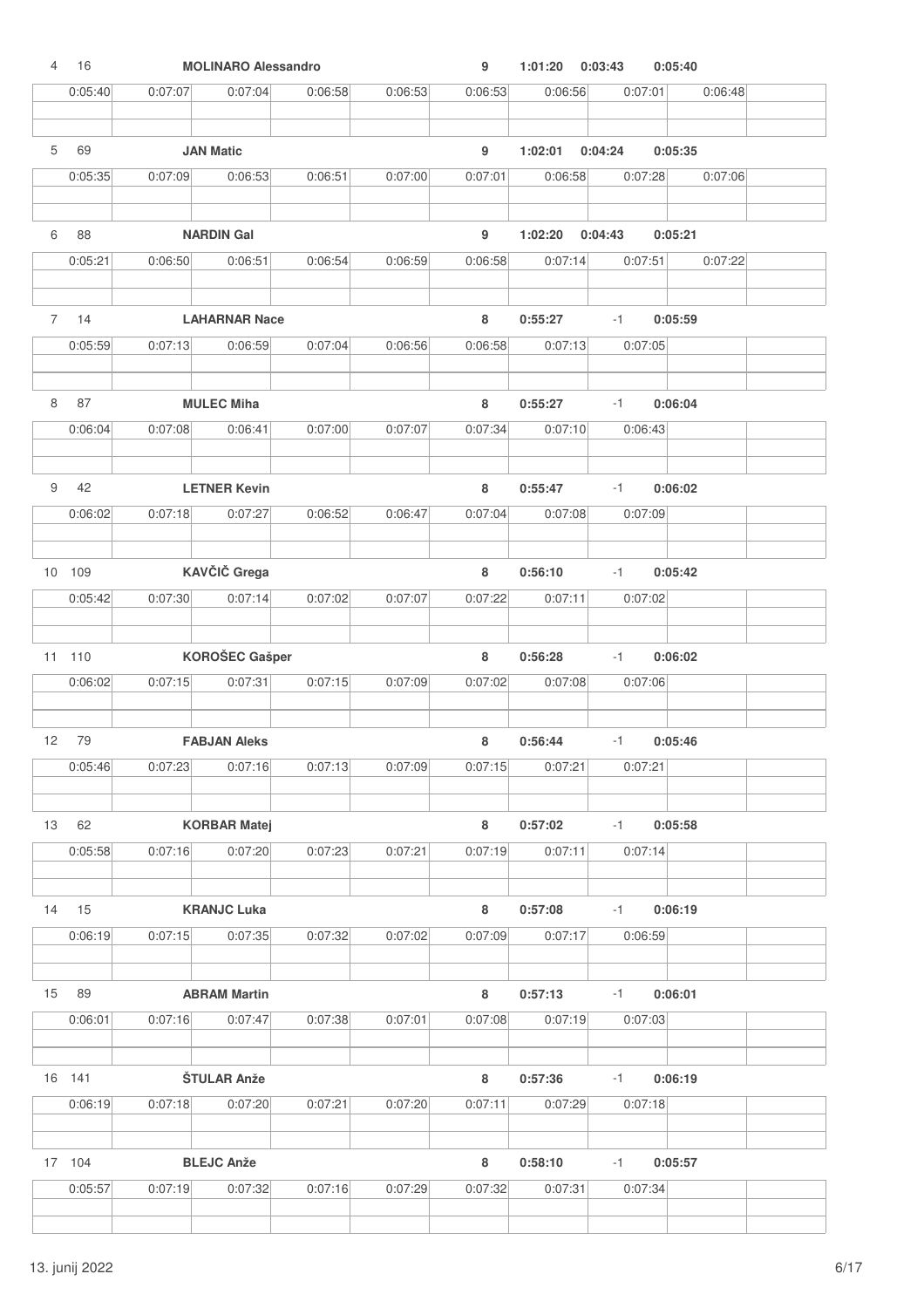| $\overline{4}$  | 16            |         | <b>MOLINARO Alessandro</b>     |         |         | 9            | 1:01:20            | 0:03:43         | 0:05:40 |
|-----------------|---------------|---------|--------------------------------|---------|---------|--------------|--------------------|-----------------|---------|
|                 | 0:05:40       | 0:07:07 | 0:07:04                        | 0:06:58 | 0:06:53 | 0:06:53      | 0:06:56            | 0:07:01         | 0:06:48 |
|                 | 69            |         | <b>JAN Matic</b>               |         |         |              |                    |                 |         |
| 5               |               |         |                                |         |         | 9            | 1:02:01            | 0:04:24         | 0:05:35 |
|                 | 0:05:35       | 0:07:09 | 0:06:53                        | 0:06:51 | 0:07:00 | 0:07:01      | 0:06:58            | 0:07:28         | 0:07:06 |
| 6               | 88            |         | <b>NARDIN Gal</b>              |         |         | 9            | 1:02:20            | 0:04:43         | 0:05:21 |
|                 | 0:05:21       | 0:06:50 | 0:06:51                        | 0:06:54 | 0:06:59 | 0:06:58      | 0:07:14            | 0:07:51         | 0:07:22 |
| $7\overline{ }$ | 14            |         | <b>LAHARNAR Nace</b>           |         |         | 8            | 0:55:27            | $-1$            | 0:05:59 |
|                 | 0:05:59       | 0:07:13 | 0:06:59                        | 0:07:04 | 0:06:56 | 0:06:58      | 0:07:13            | 0:07:05         |         |
|                 |               |         |                                |         |         |              |                    |                 |         |
| 8               | 87            |         | <b>MULEC Miha</b>              |         |         | 8            | 0:55:27            | $-1$            | 0:06:04 |
|                 | 0:06:04       | 0:07:08 | 0:06:41                        | 0:07:00 | 0:07:07 | 0:07:34      | 0:07:10            | 0:06:43         |         |
| 9               | 42            |         | <b>LETNER Kevin</b>            |         |         | 8            | 0:55:47            | $-1$            | 0:06:02 |
|                 | 0:06:02       | 0:07:18 | 0:07:27                        | 0:06:52 | 0:06:47 | 0:07:04      | 0:07:08            | 0:07:09         |         |
|                 |               |         |                                |         |         |              |                    |                 |         |
|                 | 10 109        |         | KAVČIČ Grega                   |         |         | 8            | 0:56:10            | $-1$            | 0:05:42 |
|                 | 0:05:42       | 0:07:30 | 0:07:14                        | 0:07:02 | 0:07:07 | 0:07:22      | 0:07:11            | 0:07:02         |         |
|                 | 11 110        |         | <b>KOROŠEC Gašper</b>          |         |         | 8            | 0:56:28            | $-1$            | 0:06:02 |
|                 | 0:06:02       | 0:07:15 | 0:07:31                        | 0:07:15 | 0:07:09 | 0:07:02      | 0:07:08            | 0:07:06         |         |
|                 |               |         |                                |         |         |              |                    |                 |         |
| 12              | 79<br>0:05:46 | 0:07:23 | <b>FABJAN Aleks</b><br>0:07:16 | 0:07:13 | 0:07:09 | 8<br>0:07:15 | 0:56:44<br>0:07:21 | $-1$<br>0:07:21 | 0:05:46 |
|                 |               |         |                                |         |         |              |                    |                 |         |
| 13              | 62            |         | <b>KORBAR Matej</b>            |         |         | 8            | 0:57:02            | $-1$            | 0:05:58 |
|                 | 0:05:58       | 0:07:16 | 0:07:20                        | 0:07:23 | 0:07:21 | 0:07:19      | 0:07:11            | 0:07:14         |         |
| 14              | 15            |         | <b>KRANJC Luka</b>             |         |         | 8            | 0:57:08            | $-1$            | 0:06:19 |
|                 | 0:06:19       | 0:07:15 | 0:07:35                        | 0:07:32 | 0:07:02 | 0:07:09      | 0:07:17            | 0:06:59         |         |
| 15              | 89            |         | <b>ABRAM Martin</b>            |         |         | 8            | 0:57:13            | $-1$            | 0:06:01 |
|                 | 0:06:01       | 0:07:16 | 0:07:47                        | 0:07:38 | 0:07:01 | 0:07:08      | 0:07:19            | 0:07:03         |         |
|                 |               |         |                                |         |         |              |                    |                 |         |
|                 | 16 141        |         | ŠTULAR Anže                    |         |         | $\bf8$       | 0:57:36            | $-1$            | 0:06:19 |
|                 | 0:06:19       | 0:07:18 | 0:07:20                        | 0:07:21 | 0:07:20 | 0:07:11      | 0:07:29            | 0:07:18         |         |
|                 | 17 104        |         | <b>BLEJC Anže</b>              |         |         | 8            | 0:58:10            | $-1$            | 0:05:57 |
|                 | 0:05:57       | 0:07:19 | 0:07:32                        | 0:07:16 | 0:07:29 | 0:07:32      | 0:07:31            | 0:07:34         |         |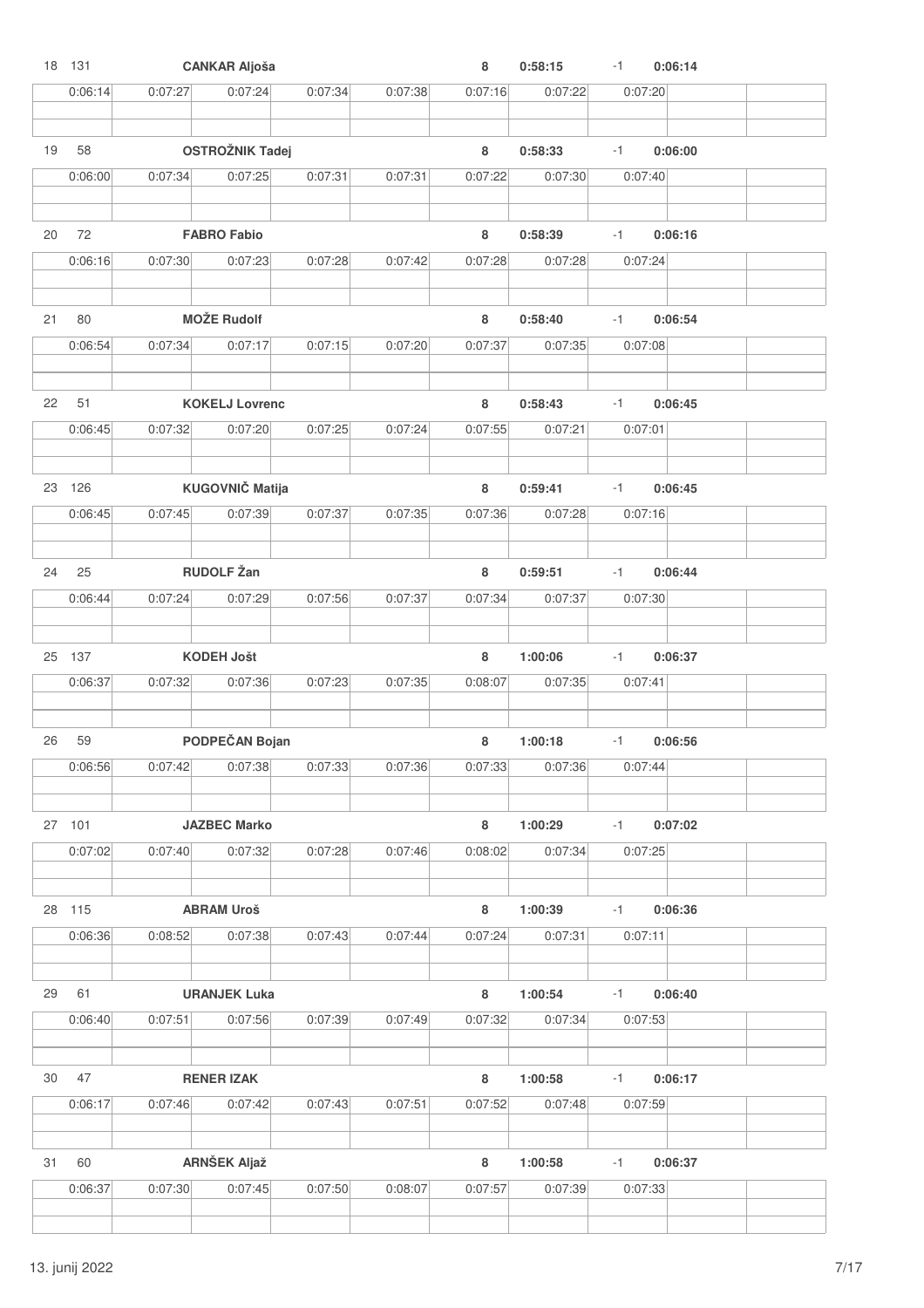|    | 18 131  |         | <b>CANKAR Aljoša</b>   |         |         | 8       | 0:58:15 | $-1$ | 0:06:14 |  |
|----|---------|---------|------------------------|---------|---------|---------|---------|------|---------|--|
|    | 0:06:14 | 0:07:27 | 0:07:24                | 0:07:34 | 0:07:38 | 0:07:16 | 0:07:22 |      | 0:07:20 |  |
|    |         |         |                        |         |         |         |         |      |         |  |
| 19 | 58      |         | <b>OSTROŽNIK Tadej</b> |         |         | 8       | 0:58:33 | $-1$ | 0:06:00 |  |
|    |         |         |                        |         |         |         |         |      |         |  |
|    | 0:06:00 | 0:07:34 | 0:07:25                | 0:07:31 | 0:07:31 | 0:07:22 | 0:07:30 |      | 0:07:40 |  |
|    |         |         |                        |         |         |         |         |      |         |  |
| 20 | 72      |         | <b>FABRO Fabio</b>     |         |         | 8       | 0:58:39 | $-1$ | 0:06:16 |  |
|    | 0:06:16 | 0:07:30 | 0:07:23                | 0:07:28 | 0:07:42 | 0:07:28 | 0:07:28 |      | 0:07:24 |  |
|    |         |         |                        |         |         |         |         |      |         |  |
|    |         |         |                        |         |         |         |         |      |         |  |
| 21 | 80      |         | <b>MOŽE Rudolf</b>     |         |         | 8       | 0:58:40 | $-1$ | 0:06:54 |  |
|    | 0:06:54 | 0:07:34 | 0:07:17                | 0:07:15 | 0:07:20 | 0:07:37 | 0:07:35 |      | 0:07:08 |  |
|    |         |         |                        |         |         |         |         |      |         |  |
| 22 | 51      |         | <b>KOKELJ Lovrenc</b>  |         |         | 8       | 0:58:43 | $-1$ | 0:06:45 |  |
|    | 0:06:45 | 0:07:32 | 0:07:20                | 0:07:25 | 0:07:24 | 0:07:55 | 0:07:21 |      | 0:07:01 |  |
|    |         |         |                        |         |         |         |         |      |         |  |
|    |         |         |                        |         |         |         |         |      |         |  |
|    | 23 126  |         | <b>KUGOVNIČ Matija</b> |         |         | 8       | 0:59:41 | $-1$ | 0:06:45 |  |
|    | 0:06:45 | 0:07:45 | 0:07:39                | 0:07:37 | 0:07:35 | 0:07:36 | 0:07:28 |      | 0:07:16 |  |
|    |         |         |                        |         |         |         |         |      |         |  |
| 24 | 25      |         | <b>RUDOLF Žan</b>      |         |         | 8       | 0:59:51 | $-1$ | 0:06:44 |  |
|    | 0:06:44 | 0:07:24 | 0:07:29                | 0:07:56 | 0:07:37 | 0:07:34 | 0:07:37 |      | 0:07:30 |  |
|    |         |         |                        |         |         |         |         |      |         |  |
|    | 25 137  |         | <b>KODEH Jošt</b>      |         |         | 8       | 1:00:06 | $-1$ | 0:06:37 |  |
|    |         |         |                        |         |         |         |         |      |         |  |
|    | 0:06:37 | 0:07:32 | 0:07:36                | 0:07:23 | 0:07:35 | 0:08:07 | 0:07:35 |      | 0:07:41 |  |
|    |         |         |                        |         |         |         |         |      |         |  |
| 26 | 59      |         | PODPEČAN Bojan         |         |         | 8       | 1:00:18 | $-1$ | 0:06:56 |  |
|    | 0:06:56 | 0:07:42 | 0:07:38                | 0:07:33 | 0:07:36 | 0:07:33 | 0:07:36 |      | 0:07:44 |  |
|    |         |         |                        |         |         |         |         |      |         |  |
|    | 27 101  |         | <b>JAZBEC Marko</b>    |         |         | 8       | 1:00:29 | $-1$ | 0:07:02 |  |
|    | 0:07:02 | 0:07:40 | 0:07:32                | 0:07:28 | 0:07:46 | 0:08:02 | 0:07:34 |      |         |  |
|    |         |         |                        |         |         |         |         |      | 0:07:25 |  |
|    |         |         |                        |         |         |         |         |      |         |  |
|    | 28 115  |         | <b>ABRAM Uroš</b>      |         |         | 8       | 1:00:39 | $-1$ | 0:06:36 |  |
|    | 0:06:36 | 0:08:52 | 0:07:38                | 0:07:43 | 0:07:44 | 0:07:24 | 0:07:31 |      | 0:07:11 |  |
|    |         |         |                        |         |         |         |         |      |         |  |
| 29 | 61      |         | <b>URANJEK Luka</b>    |         |         | 8       | 1:00:54 | $-1$ | 0:06:40 |  |
|    | 0:06:40 | 0:07:51 | 0:07:56                | 0:07:39 | 0:07:49 | 0:07:32 | 0:07:34 |      | 0:07:53 |  |
|    |         |         |                        |         |         |         |         |      |         |  |
|    |         |         |                        |         |         |         |         |      |         |  |
| 30 | 47      |         | <b>RENER IZAK</b>      |         |         | $\bf8$  | 1:00:58 | $-1$ | 0:06:17 |  |
|    | 0:06:17 | 0:07:46 | 0:07:42                | 0:07:43 | 0:07:51 | 0:07:52 | 0:07:48 |      | 0:07:59 |  |
|    |         |         |                        |         |         |         |         |      |         |  |
| 31 | 60      |         | <b>ARNŠEK Aljaž</b>    |         |         | 8       | 1:00:58 | $-1$ | 0:06:37 |  |
|    | 0:06:37 | 0:07:30 | 0:07:45                | 0:07:50 | 0:08:07 | 0:07:57 | 0:07:39 |      | 0:07:33 |  |
|    |         |         |                        |         |         |         |         |      |         |  |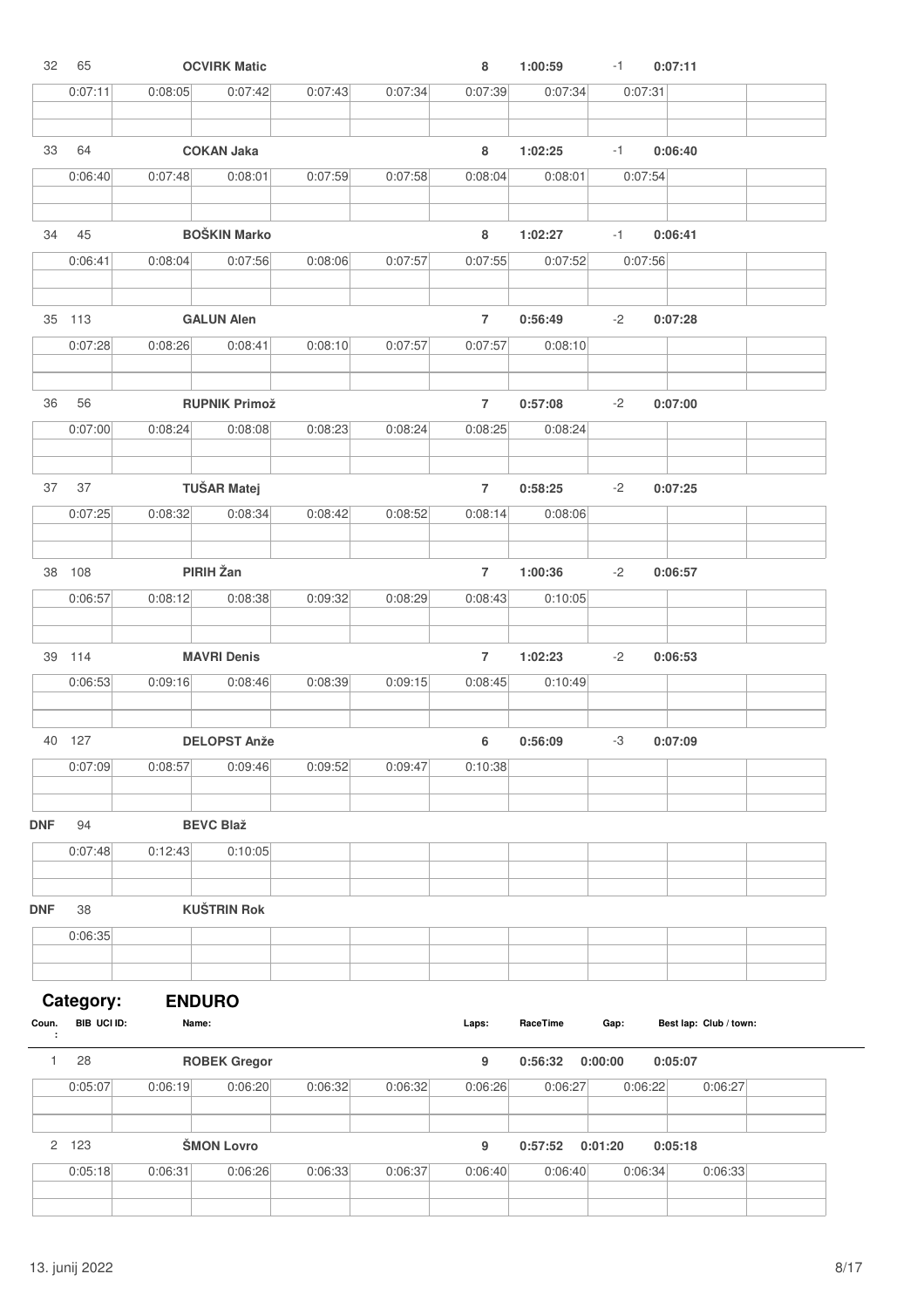| 32         | 65          |               | <b>OCVIRK Matic</b>  |         |         | 8              | 1:00:59  | $-1$    | 0:07:11                |  |
|------------|-------------|---------------|----------------------|---------|---------|----------------|----------|---------|------------------------|--|
|            | 0:07:11     | 0:08:05       | 0:07:42              | 0:07:43 | 0:07:34 | 0:07:39        | 0:07:34  | 0:07:31 |                        |  |
|            |             |               |                      |         |         |                |          |         |                        |  |
| 33         | 64          |               | <b>COKAN Jaka</b>    |         |         | 8              | 1:02:25  | $-1$    | 0:06:40                |  |
|            | 0:06:40     | 0:07:48       | 0:08:01              | 0:07:59 | 0:07:58 | 0:08:04        | 0:08:01  | 0:07:54 |                        |  |
| 34         | 45          |               | <b>BOŠKIN Marko</b>  |         |         | 8              | 1:02:27  | $-1$    | 0:06:41                |  |
|            | 0:06:41     | 0:08:04       | 0:07:56              | 0:08:06 | 0:07:57 | 0:07:55        | 0:07:52  | 0:07:56 |                        |  |
|            | 35 113      |               | <b>GALUN Alen</b>    |         |         | $\overline{7}$ | 0:56:49  | -2      | 0:07:28                |  |
|            | 0:07:28     | 0:08:26       | 0:08:41              | 0:08:10 | 0:07:57 | 0:07:57        | 0:08:10  |         |                        |  |
| 36         | 56          |               | <b>RUPNIK Primož</b> |         |         | $\overline{7}$ | 0:57:08  | $-2$    | 0:07:00                |  |
|            | 0:07:00     | 0:08:24       | 0:08:08              | 0:08:23 | 0:08:24 | 0:08:25        | 0:08:24  |         |                        |  |
| 37         | 37          |               | <b>TUŠAR Matej</b>   |         |         | $\overline{7}$ | 0:58:25  | -2      | 0:07:25                |  |
|            | 0:07:25     | 0:08:32       | 0:08:34              | 0:08:42 | 0:08:52 | 0:08:14        | 0:08:06  |         |                        |  |
|            |             |               |                      |         |         |                |          |         |                        |  |
|            | 38 108      |               | PIRIH Žan            |         |         | $\overline{7}$ | 1:00:36  | $-2$    | 0:06:57                |  |
|            | 0:06:57     | 0:08:12       | 0:08:38              | 0:09:32 | 0:08:29 | 0:08:43        | 0:10:05  |         |                        |  |
|            | 39 114      |               | <b>MAVRI Denis</b>   |         |         | $\overline{7}$ | 1:02:23  | $-2$    | 0:06:53                |  |
|            | 0:06:53     | 0:09:16       | 0:08:46              | 0:08:39 | 0:09:15 | 0:08:45        | 0:10:49  |         |                        |  |
|            | 40 127      |               | <b>DELOPST Anže</b>  |         |         | 6              | 0:56:09  | -3      | 0:07:09                |  |
|            | 0:07:09     | 0:08:57       | 0:09:46              | 0:09:52 | 0:09:47 | 0:10:38        |          |         |                        |  |
| <b>DNF</b> | 94          |               | <b>BEVC Blaž</b>     |         |         |                |          |         |                        |  |
|            | 0:07:48     | 0:12:43       | 0:10:05              |         |         |                |          |         |                        |  |
|            |             |               |                      |         |         |                |          |         |                        |  |
| <b>DNF</b> | 38          |               | <b>KUŠTRIN Rok</b>   |         |         |                |          |         |                        |  |
|            | 0:06:35     |               |                      |         |         |                |          |         |                        |  |
|            | Category:   | <b>ENDURO</b> |                      |         |         |                |          |         |                        |  |
| Coun.<br>÷ | BIB UCI ID: | Name:         |                      |         |         | Laps:          | RaceTime | Gap:    | Best lap: Club / town: |  |
| 1          | 28          |               | <b>ROBEK Gregor</b>  |         |         | 9              | 0:56:32  | 0:00:00 | 0:05:07                |  |
|            | 0:05:07     | 0:06:19       | 0:06:20              | 0:06:32 | 0:06:32 | 0:06:26        | 0:06:27  | 0:06:22 | 0:06:27                |  |
|            | 2 123       |               | <b>ŠMON Lovro</b>    |         |         | 9              | 0:57:52  | 0:01:20 | 0:05:18                |  |
|            | 0:05:18     | 0:06:31       | 0:06:26              | 0:06:33 | 0:06:37 | 0:06:40        | 0:06:40  | 0:06:34 | 0:06:33                |  |
|            |             |               |                      |         |         |                |          |         |                        |  |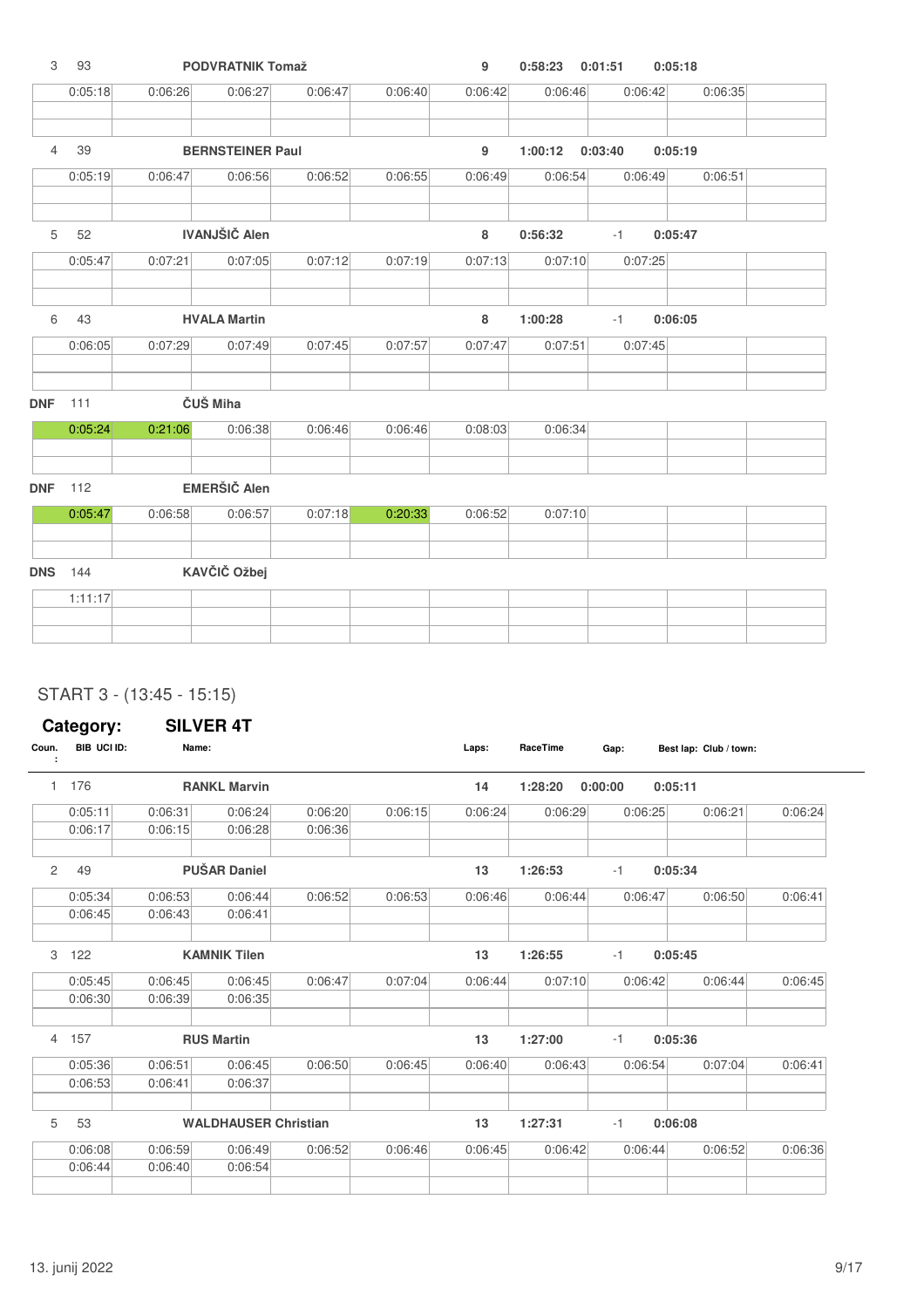| 3              | 93      |         | <b>PODVRATNIK Tomaž</b> |         |         | 9       | 0:58:23 | 0:01:51 | 0:05:18 |  |
|----------------|---------|---------|-------------------------|---------|---------|---------|---------|---------|---------|--|
|                | 0:05:18 | 0:06:26 | 0:06:27                 | 0:06:47 | 0:06:40 | 0:06:42 | 0:06:46 | 0:06:42 | 0:06:35 |  |
| $\overline{4}$ | 39      |         | <b>BERNSTEINER Paul</b> |         |         | 9       | 1:00:12 | 0:03:40 | 0:05:19 |  |
|                | 0:05:19 | 0:06:47 | 0:06:56                 | 0:06:52 | 0:06:55 | 0:06:49 | 0:06:54 | 0:06:49 | 0:06:51 |  |
| 5              | 52      |         | <b>IVANJŠIČ Alen</b>    |         |         | 8       | 0:56:32 | $-1$    | 0:05:47 |  |
|                | 0:05:47 | 0:07:21 | 0:07:05                 | 0:07:12 | 0:07:19 | 0:07:13 | 0:07:10 | 0:07:25 |         |  |
| 6              | 43      |         | <b>HVALA Martin</b>     |         |         | 8       | 1:00:28 | $-1$    | 0:06:05 |  |
|                | 0:06:05 | 0:07:29 | 0:07:49                 | 0:07:45 | 0:07:57 | 0:07:47 | 0:07:51 | 0:07:45 |         |  |
| <b>DNF</b>     | 111     |         | ČUŠ Miha                |         |         |         |         |         |         |  |
|                | 0:05:24 | 0:21:06 | 0:06:38                 | 0:06:46 | 0:06:46 | 0:08:03 | 0:06:34 |         |         |  |
| <b>DNF</b>     | 112     |         | <b>EMERŠIČ Alen</b>     |         |         |         |         |         |         |  |
|                | 0:05:47 | 0:06:58 | 0:06:57                 | 0:07:18 | 0:20:33 | 0:06:52 | 0:07:10 |         |         |  |
| <b>DNS</b>     | 144     |         | KAVČIČ Ožbej            |         |         |         |         |         |         |  |
|                | 1:11:17 |         |                         |         |         |         |         |         |         |  |
|                |         |         |                         |         |         |         |         |         |         |  |

### START 3 - (13:45 - 15:15)

|                       | Category:   |         | <b>SILVER 4T</b>            |         |         |         |          |         |                        |         |
|-----------------------|-------------|---------|-----------------------------|---------|---------|---------|----------|---------|------------------------|---------|
| Coun.<br>÷            | BIB UCI ID: | Name:   |                             |         |         | Laps:   | RaceTime | Gap:    | Best lap: Club / town: |         |
| $\mathbf{1}$          | 176         |         | <b>RANKL Marvin</b>         |         |         | 14      | 1:28:20  | 0:00:00 | 0:05:11                |         |
|                       | 0:05:11     | 0:06:31 | 0:06:24                     | 0:06:20 | 0:06:15 | 0:06:24 | 0:06:29  | 0:06:25 | 0:06:21                | 0:06:24 |
|                       | 0:06:17     | 0:06:15 | 0:06:28                     | 0:06:36 |         |         |          |         |                        |         |
| $\mathbf{2}^{\prime}$ | 49          |         | <b>PUŠAR Daniel</b>         |         |         | 13      | 1:26:53  | $-1$    | 0:05:34                |         |
|                       | 0:05:34     | 0:06:53 | 0:06:44                     | 0:06:52 | 0:06:53 | 0:06:46 | 0:06:44  | 0:06:47 | 0:06:50                | 0:06:41 |
|                       | 0:06:45     | 0:06:43 | 0:06:41                     |         |         |         |          |         |                        |         |
| З                     | 122         |         | <b>KAMNIK Tilen</b>         |         |         | 13      | 1:26:55  | $-1$    | 0:05:45                |         |
|                       | 0:05:45     | 0:06:45 | 0:06:45                     | 0:06:47 | 0:07:04 | 0:06:44 | 0:07:10  | 0:06:42 | 0:06:44                | 0:06:45 |
|                       | 0:06:30     | 0:06:39 | 0:06:35                     |         |         |         |          |         |                        |         |
|                       | 4 157       |         | <b>RUS Martin</b>           |         |         | 13      | 1:27:00  | $-1$    | 0:05:36                |         |
|                       | 0:05:36     | 0:06:51 | 0:06:45                     | 0:06:50 | 0:06:45 | 0:06:40 | 0:06:43  | 0:06:54 | 0:07:04                | 0:06:41 |
|                       | 0:06:53     | 0:06:41 | 0:06:37                     |         |         |         |          |         |                        |         |
| 5                     | 53          |         | <b>WALDHAUSER Christian</b> |         |         | 13      | 1:27:31  | $-1$    | 0:06:08                |         |
|                       | 0:06:08     | 0:06:59 | 0:06:49                     | 0:06:52 | 0:06:46 | 0:06:45 | 0:06:42  | 0:06:44 | 0:06:52                | 0:06:36 |
|                       | 0:06:44     | 0:06:40 | 0:06:54                     |         |         |         |          |         |                        |         |
|                       |             |         |                             |         |         |         |          |         |                        |         |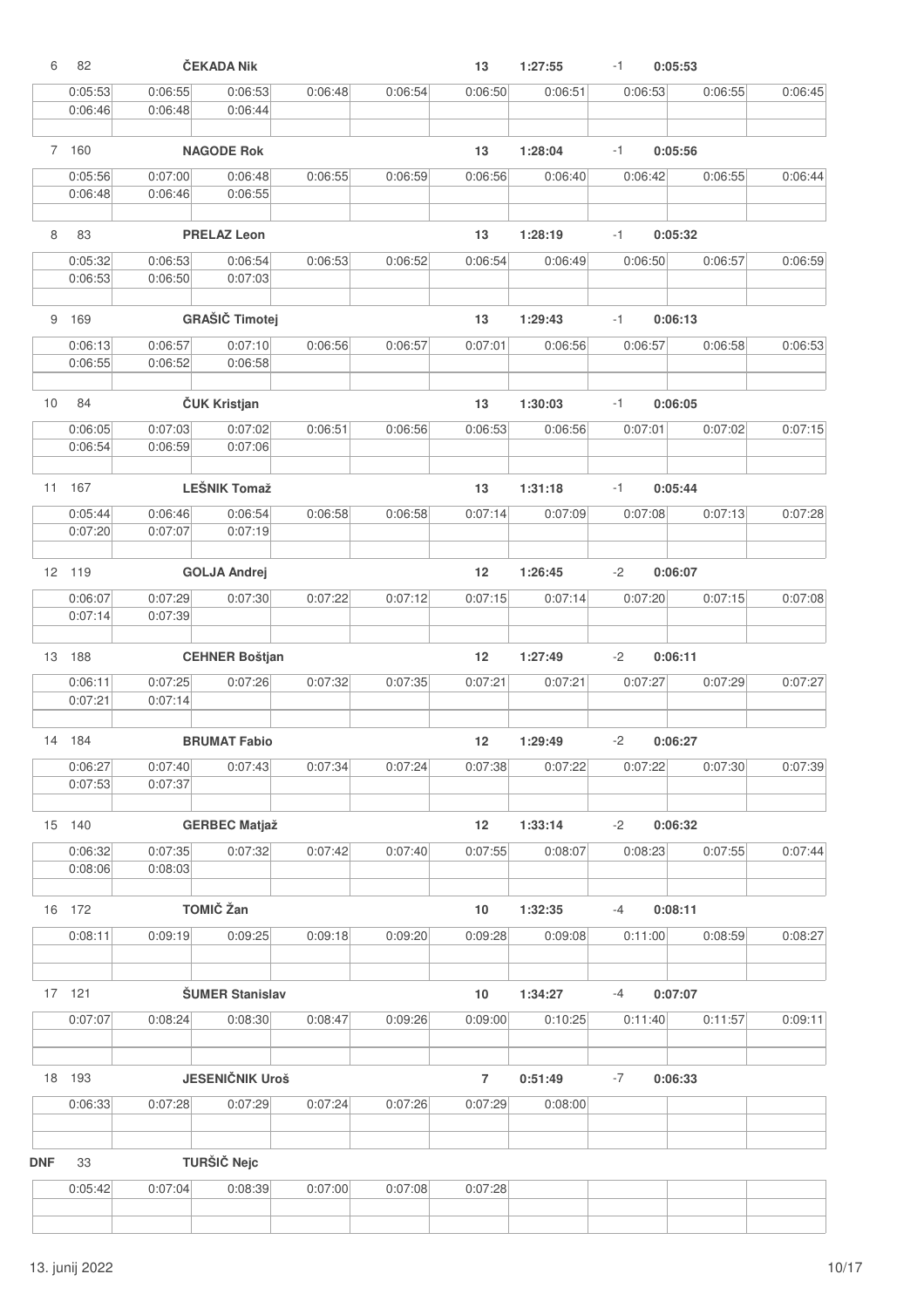| 6          | 82      |         | ČEKADA Nik             |         |         | 13             | 1:27:55 | $-1$ | 0:05:53 |         |         |
|------------|---------|---------|------------------------|---------|---------|----------------|---------|------|---------|---------|---------|
|            | 0:05:53 | 0:06:55 | 0:06:53                | 0:06:48 | 0:06:54 | 0:06:50        | 0:06:51 |      | 0:06:53 | 0:06:55 | 0:06:45 |
|            | 0:06:46 | 0:06:48 | 0:06:44                |         |         |                |         |      |         |         |         |
|            |         |         |                        |         |         |                |         |      |         |         |         |
|            | 7 160   |         | <b>NAGODE Rok</b>      |         |         | 13             | 1:28:04 | $-1$ | 0:05:56 |         |         |
|            | 0:05:56 | 0:07:00 | 0:06:48                | 0:06:55 | 0:06:59 | 0:06:56        | 0:06:40 |      | 0:06:42 | 0:06:55 | 0:06:44 |
|            | 0:06:48 | 0:06:46 | 0:06:55                |         |         |                |         |      |         |         |         |
| 8          | 83      |         | <b>PRELAZ Leon</b>     |         |         | 13             | 1:28:19 | $-1$ | 0:05:32 |         |         |
|            | 0:05:32 | 0:06:53 | 0:06:54                | 0:06:53 | 0:06:52 | 0:06:54        | 0:06:49 |      | 0:06:50 | 0:06:57 | 0:06:59 |
|            | 0:06:53 | 0:06:50 | 0:07:03                |         |         |                |         |      |         |         |         |
| 9          | 169     |         | <b>GRAŠIČ Timotej</b>  |         |         | 13             | 1:29:43 | $-1$ | 0:06:13 |         |         |
|            | 0:06:13 | 0:06:57 | 0:07:10                | 0:06:56 |         | 0:07:01        | 0:06:56 |      | 0:06:57 |         |         |
|            | 0:06:55 | 0:06:52 | 0:06:58                |         | 0:06:57 |                |         |      |         | 0:06:58 | 0:06:53 |
|            |         |         |                        |         |         |                |         |      |         |         |         |
| 10         | 84      |         | ČUK Kristjan           |         |         | 13             | 1:30:03 | $-1$ | 0:06:05 |         |         |
|            | 0:06:05 | 0:07:03 | 0:07:02                | 0:06:51 | 0:06:56 | 0:06:53        | 0:06:56 |      | 0:07:01 | 0:07:02 | 0:07:15 |
|            | 0:06:54 | 0:06:59 | 0:07:06                |         |         |                |         |      |         |         |         |
| 11         | 167     |         | <b>LEŠNIK Tomaž</b>    |         |         | 13             | 1:31:18 | $-1$ | 0:05:44 |         |         |
|            | 0:05:44 | 0:06:46 | 0:06:54                | 0:06:58 | 0:06:58 | 0:07:14        | 0:07:09 |      | 0:07:08 | 0:07:13 | 0:07:28 |
|            | 0:07:20 | 0:07:07 | 0:07:19                |         |         |                |         |      |         |         |         |
|            | 12 119  |         | <b>GOLJA Andrej</b>    |         |         | 12             | 1:26:45 | $-2$ | 0:06:07 |         |         |
|            | 0:06:07 | 0:07:29 | 0:07:30                | 0:07:22 | 0:07:12 | 0:07:15        | 0:07:14 |      | 0:07:20 | 0:07:15 | 0:07:08 |
|            | 0:07:14 | 0:07:39 |                        |         |         |                |         |      |         |         |         |
| 13         | 188     |         | <b>CEHNER Boštjan</b>  |         |         | 12             | 1:27:49 | $-2$ | 0:06:11 |         |         |
|            | 0:06:11 | 0:07:25 | 0:07:26                | 0:07:32 | 0:07:35 | 0:07:21        | 0:07:21 |      | 0:07:27 | 0:07:29 | 0:07:27 |
|            | 0:07:21 | 0:07:14 |                        |         |         |                |         |      |         |         |         |
|            | 14 184  |         | <b>BRUMAT Fabio</b>    |         |         | 12             | 1:29:49 | $-2$ | 0:06:27 |         |         |
|            | 0:06:27 | 0:07:40 | 0:07:43                | 0:07:34 | 0:07:24 | 0:07:38        | 0:07:22 |      | 0:07:22 | 0:07:30 | 0:07:39 |
|            | 0:07:53 | 0:07:37 |                        |         |         |                |         |      |         |         |         |
|            |         |         |                        |         |         |                |         |      |         |         |         |
|            | 15 140  |         | <b>GERBEC Matjaž</b>   |         |         | 12             | 1:33:14 | $-2$ | 0:06:32 |         |         |
|            | 0:06:32 | 0:07:35 | 0:07:32                | 0:07:42 | 0:07:40 | 0:07:55        | 0:08:07 |      | 0:08:23 | 0:07:55 | 0:07:44 |
|            | 0:08:06 | 0:08:03 |                        |         |         |                |         |      |         |         |         |
|            | 16 172  |         | <b>TOMIČ Žan</b>       |         |         | 10             | 1:32:35 | -4   | 0:08:11 |         |         |
|            | 0:08:11 | 0:09:19 | 0:09:25                | 0:09:18 | 0:09:20 | 0:09:28        | 0:09:08 |      | 0:11:00 | 0:08:59 | 0:08:27 |
|            |         |         |                        |         |         |                |         |      |         |         |         |
|            | 17 121  |         | <b>ŠUMER Stanislav</b> |         |         | 10             | 1:34:27 | -4   | 0:07:07 |         |         |
|            | 0:07:07 | 0:08:24 | 0:08:30                | 0:08:47 | 0:09:26 | 0:09:00        | 0:10:25 |      | 0:11:40 | 0:11:57 | 0:09:11 |
|            |         |         |                        |         |         |                |         |      |         |         |         |
|            | 18 193  |         | <b>JESENIČNIK Uroš</b> |         |         | $\overline{7}$ | 0:51:49 | -7   | 0:06:33 |         |         |
|            | 0:06:33 | 0:07:28 | 0:07:29                | 0:07:24 | 0:07:26 | 0:07:29        | 0:08:00 |      |         |         |         |
|            |         |         |                        |         |         |                |         |      |         |         |         |
| <b>DNF</b> | 33      |         | <b>TURŠIČ Nejc</b>     |         |         |                |         |      |         |         |         |
|            | 0:05:42 | 0:07:04 | 0:08:39                | 0:07:00 | 0:07:08 | 0:07:28        |         |      |         |         |         |
|            |         |         |                        |         |         |                |         |      |         |         |         |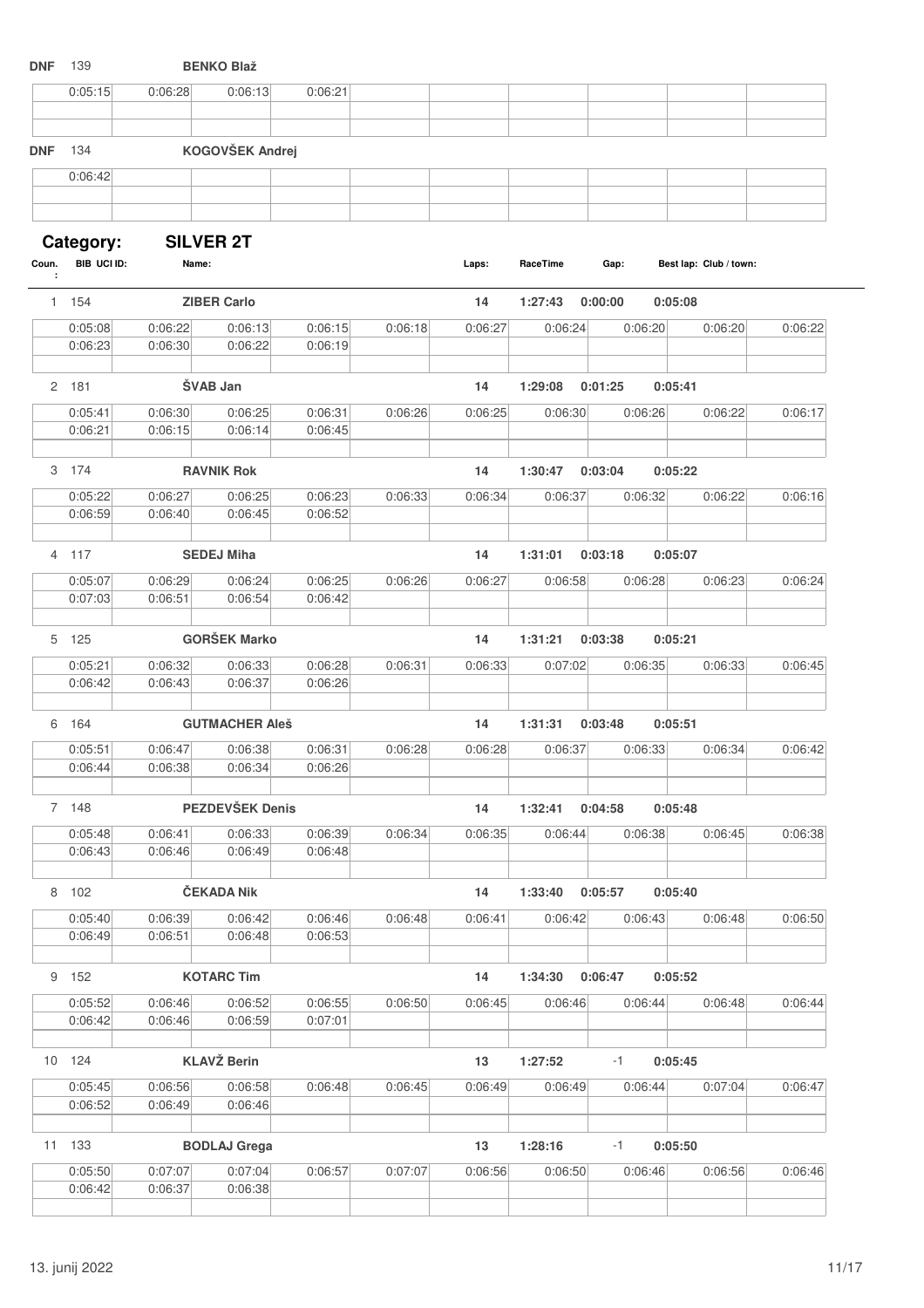| <b>DNF</b> | 139                |                    | <b>BENKO Blaž</b>     |                    |         |         |          |         |                        |         |
|------------|--------------------|--------------------|-----------------------|--------------------|---------|---------|----------|---------|------------------------|---------|
|            | 0:05:15            | 0:06:28            | 0:06:13               | 0:06:21            |         |         |          |         |                        |         |
| <b>DNF</b> | 134                |                    | KOGOVŠEK Andrej       |                    |         |         |          |         |                        |         |
|            | 0:06:42            |                    |                       |                    |         |         |          |         |                        |         |
|            |                    |                    |                       |                    |         |         |          |         |                        |         |
|            | Category:          |                    | <b>SILVER 2T</b>      |                    |         |         |          |         |                        |         |
| Coun.      | BIB UCI ID:        | Name:              |                       |                    |         | Laps:   | RaceTime | Gap:    | Best lap: Club / town: |         |
|            | 1 154              |                    | <b>ZIBER Carlo</b>    |                    |         | 14      | 1:27:43  | 0:00:00 | 0:05:08                |         |
|            | 0:05:08            | 0:06:22            | 0:06:13               | 0:06:15            | 0:06:18 | 0:06:27 | 0:06:24  |         | 0:06:20<br>0:06:20     | 0:06:22 |
|            | 0:06:23            | 0:06:30            | 0:06:22               | 0:06:19            |         |         |          |         |                        |         |
|            |                    |                    |                       |                    |         |         |          |         |                        |         |
|            | 2 181              |                    | ŠVAB Jan              |                    |         | 14      | 1:29:08  | 0:01:25 | 0:05:41                |         |
|            | 0:05:41<br>0:06:21 | 0:06:30<br>0:06:15 | 0:06:25<br>0:06:14    | 0:06:31<br>0:06:45 | 0:06:26 | 0:06:25 | 0:06:30  |         | 0:06:26<br>0:06:22     | 0:06:17 |
|            |                    |                    |                       |                    |         |         |          |         |                        |         |
|            | 3 174              |                    | <b>RAVNIK Rok</b>     |                    |         | 14      | 1:30:47  | 0:03:04 | 0:05:22                |         |
|            | 0:05:22            | 0:06:27            | 0:06:25               | 0:06:23            | 0:06:33 | 0:06:34 | 0:06:37  |         | 0:06:22<br>0:06:32     | 0:06:16 |
|            | 0:06:59            | 0:06:40            | 0:06:45               | 0:06:52            |         |         |          |         |                        |         |
|            |                    |                    |                       |                    |         |         |          |         |                        |         |
|            | 4 117              |                    | <b>SEDEJ Miha</b>     |                    |         | 14      | 1:31:01  | 0:03:18 | 0:05:07                |         |
|            | 0:05:07            | 0:06:29            | 0:06:24               | 0:06:25            | 0:06:26 | 0:06:27 | 0:06:58  |         | 0:06:28<br>0:06:23     | 0:06:24 |
|            | 0:07:03            | 0:06:51            | 0:06:54               | 0:06:42            |         |         |          |         |                        |         |
|            | 5 125              |                    | <b>GORŠEK Marko</b>   |                    |         | 14      | 1:31:21  | 0:03:38 | 0:05:21                |         |
|            | 0:05:21            | 0:06:32            | 0:06:33               | 0:06:28            | 0:06:31 | 0:06:33 | 0:07:02  |         | 0:06:33<br>0:06:35     | 0:06:45 |
|            | 0:06:42            | 0:06:43            | 0:06:37               | 0:06:26            |         |         |          |         |                        |         |
|            |                    |                    |                       |                    |         |         |          |         |                        |         |
| 6          | 164                |                    | <b>GUTMACHER Aleš</b> |                    |         | 14      | 1:31:31  | 0:03:48 | 0:05:51                |         |
|            | 0:05:51            | 0:06:47            | 0:06:38               | 0:06:31            | 0:06:28 | 0:06:28 | 0:06:37  |         | 0:06:33<br>0:06:34     | 0:06:42 |
|            | 0:06:44            | 0:06:38            | 0:06:34               | 0:06:26            |         |         |          |         |                        |         |
|            | 7 148              |                    | PEZDEVŠEK Denis       |                    |         | 14      | 1:32:41  | 0:04:58 | 0:05:48                |         |
|            | 0:05:48            | 0:06:41            | 0:06:33               | 0:06:39            | 0:06:34 | 0:06:35 | 0:06:44  |         | 0:06:38<br>0:06:45     | 0:06:38 |
|            | 0:06:43            | 0:06:46            | 0:06:49               | 0:06:48            |         |         |          |         |                        |         |
|            |                    |                    |                       |                    |         |         |          |         |                        |         |
|            | 8 102              |                    | <b>ČEKADA Nik</b>     |                    |         | 14      | 1:33:40  | 0:05:57 | 0:05:40                |         |
|            | 0:05:40            | 0:06:39            | 0:06:42               | 0:06:46            | 0:06:48 | 0:06:41 | 0:06:42  |         | 0:06:43<br>0:06:48     | 0:06:50 |
|            | 0:06:49            | 0:06:51            | 0:06:48               | 0:06:53            |         |         |          |         |                        |         |
|            | 9 152              |                    | <b>KOTARC Tim</b>     |                    |         | 14      | 1:34:30  | 0:06:47 | 0:05:52                |         |
|            | 0:05:52            | 0:06:46            | 0:06:52               | 0:06:55            | 0:06:50 | 0:06:45 | 0:06:46  |         | 0:06:44<br>0:06:48     | 0:06:44 |
|            | 0:06:42            | 0:06:46            | 0:06:59               | 0:07:01            |         |         |          |         |                        |         |
|            |                    |                    |                       |                    |         |         |          |         |                        |         |
|            | 10 124             |                    | <b>KLAVŽ Berin</b>    |                    |         | 13      | 1:27:52  | -1      | 0:05:45                |         |
|            | 0:05:45            | 0:06:56            | 0:06:58               | 0:06:48            | 0:06:45 | 0:06:49 | 0:06:49  |         | 0:06:44<br>0:07:04     | 0:06:47 |
|            | 0:06:52            | 0:06:49            | 0:06:46               |                    |         |         |          |         |                        |         |
|            | 11 133             |                    | <b>BODLAJ</b> Grega   |                    |         | 13      | 1:28:16  | -1      | 0:05:50                |         |
|            |                    |                    |                       |                    |         |         |          |         |                        |         |
|            | 0:05:50<br>0:06:42 | 0:07:07<br>0:06:37 | 0:07:04<br>0:06:38    | 0:06:57            | 0:07:07 | 0:06:56 | 0:06:50  |         | 0:06:46<br>0:06:56     | 0:06:46 |
|            |                    |                    |                       |                    |         |         |          |         |                        |         |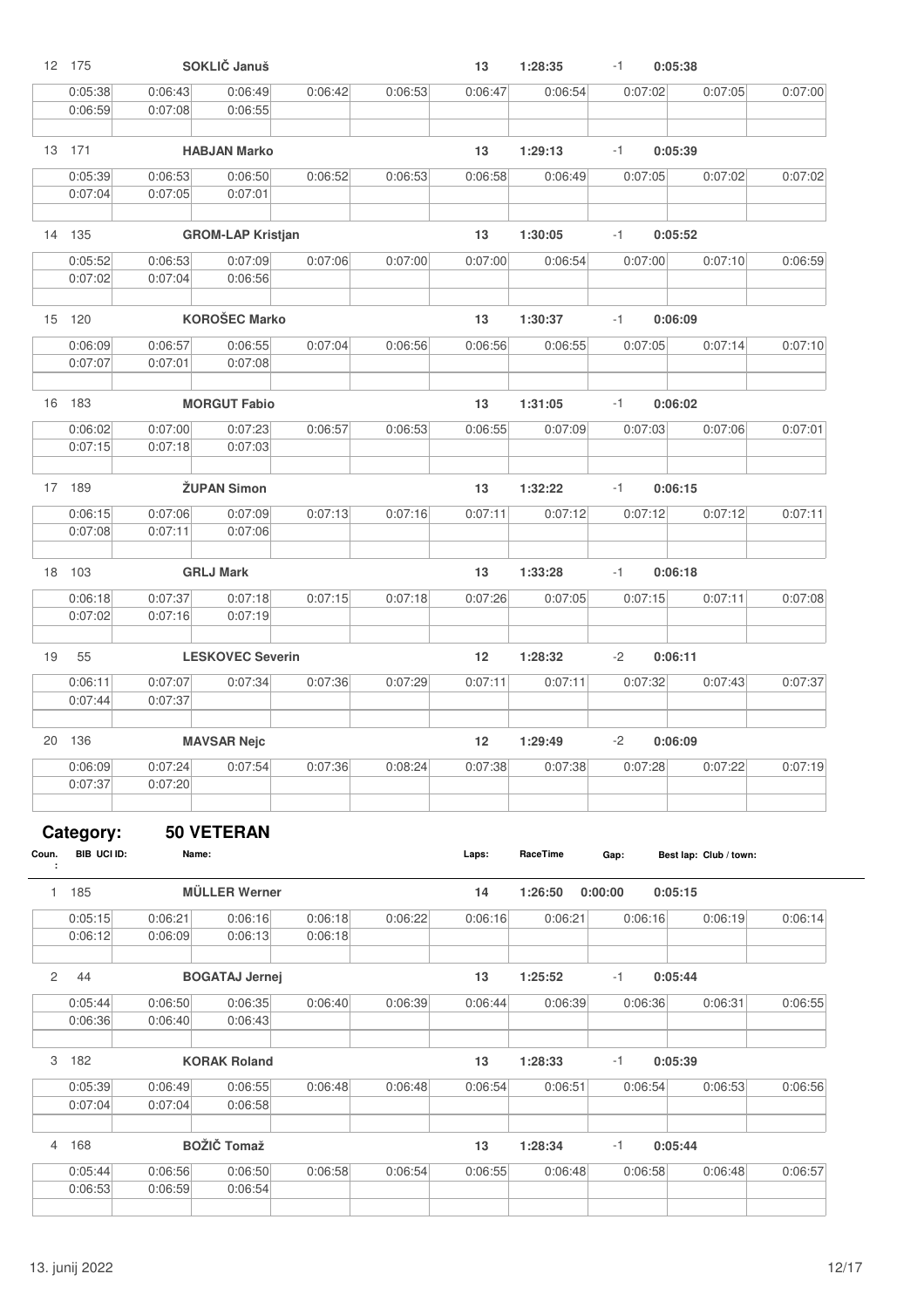|       | 12 175      |         | SOKLIČ Januš             |         |         | 13      | 1:28:35  | $-1$    | 0:05:38                |         |
|-------|-------------|---------|--------------------------|---------|---------|---------|----------|---------|------------------------|---------|
|       | 0:05:38     | 0:06:43 | 0:06:49                  | 0:06:42 | 0:06:53 | 0:06:47 | 0:06:54  | 0:07:02 | 0:07:05                | 0:07:00 |
|       | 0:06:59     | 0:07:08 | 0:06:55                  |         |         |         |          |         |                        |         |
|       |             |         |                          |         |         |         |          |         |                        |         |
|       | 13 171      |         | <b>HABJAN Marko</b>      |         |         | 13      | 1:29:13  | $-1$    | 0:05:39                |         |
|       | 0:05:39     | 0:06:53 | 0:06:50                  | 0:06:52 | 0:06:53 | 0:06:58 | 0:06:49  | 0:07:05 | 0:07:02                | 0:07:02 |
|       | 0:07:04     | 0:07:05 | 0:07:01                  |         |         |         |          |         |                        |         |
|       |             |         |                          |         |         |         |          |         |                        |         |
|       | 14 135      |         | <b>GROM-LAP Kristjan</b> |         |         | 13      | 1:30:05  | $-1$    | 0:05:52                |         |
|       | 0:05:52     | 0:06:53 | 0:07:09                  | 0:07:06 | 0:07:00 | 0:07:00 | 0:06:54  | 0:07:00 | 0:07:10                | 0:06:59 |
|       | 0:07:02     | 0:07:04 | 0:06:56                  |         |         |         |          |         |                        |         |
|       |             |         |                          |         |         |         |          |         |                        |         |
|       | 15 120      |         | <b>KOROŠEC Marko</b>     |         |         | 13      | 1:30:37  | $-1$    | 0:06:09                |         |
|       | 0:06:09     | 0:06:57 | 0:06:55                  | 0:07:04 | 0:06:56 | 0:06:56 | 0:06:55  | 0:07:05 | 0:07:14                | 0:07:10 |
|       | 0:07:07     | 0:07:01 | 0:07:08                  |         |         |         |          |         |                        |         |
|       |             |         |                          |         |         |         |          |         |                        |         |
|       | 16 183      |         | <b>MORGUT Fabio</b>      |         |         | 13      | 1:31:05  | $-1$    | 0:06:02                |         |
|       | 0:06:02     | 0:07:00 | 0:07:23                  | 0:06:57 | 0:06:53 | 0:06:55 | 0:07:09  | 0:07:03 | 0:07:06                | 0:07:01 |
|       | 0:07:15     | 0:07:18 | 0:07:03                  |         |         |         |          |         |                        |         |
|       |             |         |                          |         |         |         |          |         |                        |         |
|       | 17 189      |         | <b>ŽUPAN Simon</b>       |         |         | 13      | 1:32:22  | $-1$    | 0:06:15                |         |
|       | 0:06:15     | 0:07:06 | 0:07:09                  | 0:07:13 | 0:07:16 | 0:07:11 | 0:07:12  | 0:07:12 | 0:07:12                | 0:07:11 |
|       | 0:07:08     | 0:07:11 | 0:07:06                  |         |         |         |          |         |                        |         |
|       |             |         |                          |         |         |         |          |         |                        |         |
|       | 18 103      |         | <b>GRLJ Mark</b>         |         |         | 13      | 1:33:28  | $-1$    | 0:06:18                |         |
|       | 0:06:18     | 0:07:37 | 0:07:18                  | 0:07:15 | 0:07:18 | 0:07:26 | 0:07:05  | 0:07:15 | 0:07:11                | 0:07:08 |
|       | 0:07:02     | 0:07:16 | 0:07:19                  |         |         |         |          |         |                        |         |
|       |             |         |                          |         |         |         |          |         |                        |         |
| 19    | 55          |         | <b>LESKOVEC Severin</b>  |         |         | 12      | 1:28:32  | $-2$    | 0:06:11                |         |
|       | 0:06:11     | 0:07:07 | 0:07:34                  | 0:07:36 | 0:07:29 | 0:07:11 | 0:07:11  | 0:07:32 | 0:07:43                | 0:07:37 |
|       | 0:07:44     | 0:07:37 |                          |         |         |         |          |         |                        |         |
|       |             |         |                          |         |         |         |          |         |                        |         |
|       | 20 136      |         | <b>MAVSAR Nejc</b>       |         |         | 12      | 1:29:49  | $-2$    | 0:06:09                |         |
|       | 0:06:09     | 0:07:24 | 0:07:54                  | 0:07:36 | 0:08:24 | 0:07:38 | 0:07:38  | 0:07:28 | 0:07:22                | 0:07:19 |
|       | 0:07:37     | 0:07:20 |                          |         |         |         |          |         |                        |         |
|       |             |         |                          |         |         |         |          |         |                        |         |
|       | Category:   |         | <b>50 VETERAN</b>        |         |         |         |          |         |                        |         |
| Coun. | BIB UCI ID: | Name:   |                          |         |         | Laps:   | RaceTime | Gap:    | Best lap: Club / town: |         |
|       |             |         |                          |         |         |         |          |         |                        |         |
|       | 1 185       |         | <b>MÜLLER Werner</b>     |         |         | 14      | 1:26:50  | 0:00:00 | 0:05:15                |         |
|       | 0:05:15     | 0:06:21 | 0:06:16                  | 0:06:18 | 0:06:22 | 0:06:16 | 0:06:21  | 0:06:16 | 0:06:19                | 0:06:14 |
|       | 0:06:12     | 0:06:09 | 0:06:13                  | 0:06:18 |         |         |          |         |                        |         |
|       |             |         |                          |         |         |         |          |         |                        |         |
| 2     | 44          |         | <b>BOGATAJ Jernej</b>    |         |         | 13      | 1:25:52  | $-1$    | 0:05:44                |         |
|       | 0:05:44     | 0:06:50 | 0:06:35                  | 0:06:40 | 0:06:39 | 0:06:44 | 0:06:39  | 0:06:36 | 0:06:31                | 0:06:55 |
|       | 0:06:36     | 0:06:40 | 0:06:43                  |         |         |         |          |         |                        |         |
|       |             |         |                          |         |         |         |          |         |                        |         |
| 3     | 182         |         | <b>KORAK Roland</b>      |         |         | 13      | 1:28:33  | $-1$    | 0:05:39                |         |
|       | 0:05:39     | 0:06:49 | 0:06:55                  | 0:06:48 | 0:06:48 | 0:06:54 | 0:06:51  | 0:06:54 | 0:06:53                | 0:06:56 |
|       | 0:07:04     | 0:07:04 | 0:06:58                  |         |         |         |          |         |                        |         |
|       |             |         |                          |         |         |         |          |         |                        |         |
| 4     | 168         |         | <b>BOŽIČ Tomaž</b>       |         |         | 13      | 1:28:34  | $-1$    | 0:05:44                |         |
|       | 0:05:44     | 0:06:56 | 0:06:50                  | 0:06:58 | 0:06:54 | 0:06:55 | 0:06:48  | 0:06:58 | 0:06:48                | 0:06:57 |
|       | 0:06:53     | 0:06:59 | 0:06:54                  |         |         |         |          |         |                        |         |
|       |             |         |                          |         |         |         |          |         |                        |         |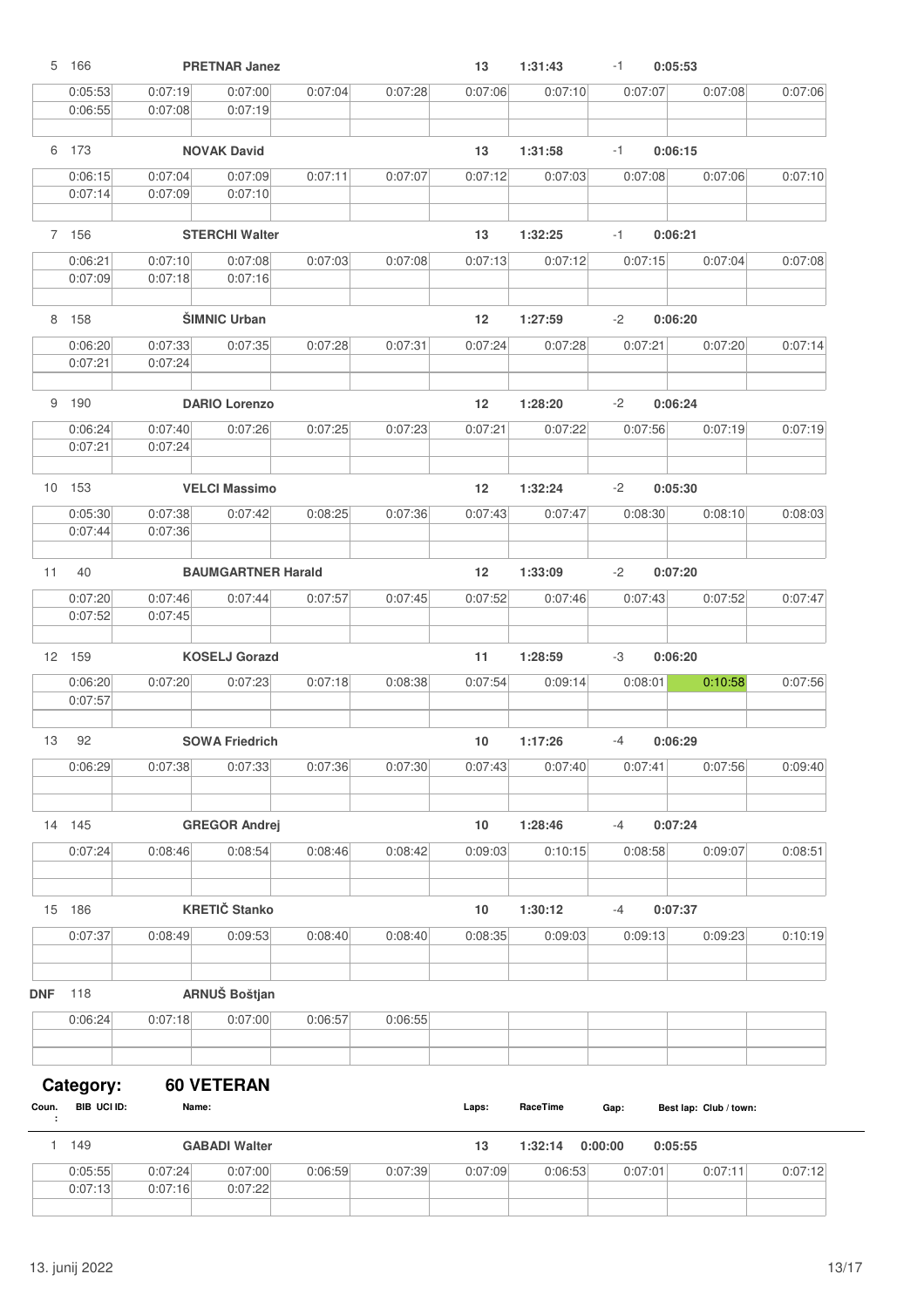|            | 5 166              |                    | <b>PRETNAR Janez</b>      |         |         | 13                | 1:31:43  | $-1$    | 0:05:53 |                        |         |
|------------|--------------------|--------------------|---------------------------|---------|---------|-------------------|----------|---------|---------|------------------------|---------|
|            | 0:05:53            | 0:07:19            | 0:07:00                   | 0:07:04 | 0:07:28 | 0:07:06           | 0:07:10  |         | 0:07:07 | 0:07:08                | 0:07:06 |
|            | 0:06:55            | 0:07:08            | 0:07:19                   |         |         |                   |          |         |         |                        |         |
|            |                    |                    |                           |         |         |                   |          |         |         |                        |         |
|            | 6 173              |                    | <b>NOVAK David</b>        |         |         | 13                | 1:31:58  | $-1$    | 0:06:15 |                        |         |
|            | 0:06:15            | 0:07:04            | 0:07:09                   | 0:07:11 | 0:07:07 | 0:07:12           | 0:07:03  |         | 0:07:08 | 0:07:06                | 0:07:10 |
|            | 0:07:14            | 0:07:09            | 0:07:10                   |         |         |                   |          |         |         |                        |         |
|            | 7 156              |                    | <b>STERCHI Walter</b>     |         |         | 13                | 1:32:25  | $-1$    | 0:06:21 |                        |         |
|            |                    |                    |                           |         |         |                   |          |         |         |                        |         |
|            | 0:06:21<br>0:07:09 | 0:07:10<br>0:07:18 | 0:07:08<br>0:07:16        | 0:07:03 | 0:07:08 | 0:07:13           | 0:07:12  |         | 0:07:15 | 0:07:04                | 0:07:08 |
|            |                    |                    |                           |         |         |                   |          |         |         |                        |         |
|            | 8 158              |                    | <b>ŠIMNIC Urban</b>       |         |         | $12 \overline{ }$ | 1:27:59  | $-2$    | 0:06:20 |                        |         |
|            | 0:06:20            | 0:07:33            | 0:07:35                   | 0:07:28 | 0:07:31 | 0:07:24           | 0:07:28  |         | 0:07:21 | 0:07:20                | 0:07:14 |
|            | 0:07:21            | 0:07:24            |                           |         |         |                   |          |         |         |                        |         |
|            | 9 190              |                    | <b>DARIO Lorenzo</b>      |         |         | 12                | 1:28:20  | -2      | 0:06:24 |                        |         |
|            | 0:06:24            | 0:07:40            | 0:07:26                   | 0:07:25 | 0:07:23 | 0:07:21           | 0:07:22  |         | 0:07:56 | 0:07:19                | 0:07:19 |
|            | 0:07:21            | 0:07:24            |                           |         |         |                   |          |         |         |                        |         |
|            |                    |                    |                           |         |         |                   |          |         |         |                        |         |
|            | 10 153             |                    | <b>VELCI Massimo</b>      |         |         | 12                | 1:32:24  | -2      | 0:05:30 |                        |         |
|            | 0:05:30            | 0:07:38            | 0:07:42                   | 0:08:25 | 0:07:36 | 0:07:43           | 0:07:47  |         | 0:08:30 | 0:08:10                | 0:08:03 |
|            | 0:07:44            | 0:07:36            |                           |         |         |                   |          |         |         |                        |         |
| 11         | 40                 |                    | <b>BAUMGARTNER Harald</b> |         |         | $12 \overline{ }$ | 1:33:09  | -2      | 0:07:20 |                        |         |
|            | 0:07:20            | 0:07:46            | 0:07:44                   | 0:07:57 | 0:07:45 | 0:07:52           | 0:07:46  |         | 0:07:43 | 0:07:52                | 0:07:47 |
|            | 0:07:52            | 0:07:45            |                           |         |         |                   |          |         |         |                        |         |
|            | 12 159             |                    | <b>KOSELJ Gorazd</b>      |         |         | 11                | 1:28:59  | -3      | 0:06:20 |                        |         |
|            |                    |                    |                           |         |         |                   |          |         |         |                        |         |
|            | 0:06:20<br>0:07:57 | 0:07:20            | 0:07:23                   | 0:07:18 | 0:08:38 | 0:07:54           | 0:09:14  |         | 0:08:01 | 0:10:58                | 0:07:56 |
|            |                    |                    |                           |         |         |                   |          |         |         |                        |         |
| 13         | 92                 |                    | <b>SOWA Friedrich</b>     |         |         | 10                | 1:17:26  | $-4$    | 0:06:29 |                        |         |
|            | 0:06:29            | 0:07:38            | 0:07:33                   | 0:07:36 | 0:07:30 | 0:07:43           | 0:07:40  |         | 0:07:41 | 0:07:56                | 0:09:40 |
|            |                    |                    |                           |         |         |                   |          |         |         |                        |         |
|            | 14 145             |                    |                           |         |         |                   | 1:28:46  | $-4$    | 0:07:24 |                        |         |
|            |                    |                    | <b>GREGOR Andrej</b>      |         |         | $10$              |          |         |         |                        |         |
|            | 0:07:24            | 0:08:46            | 0:08:54                   | 0:08:46 | 0:08:42 | 0:09:03           | 0:10:15  |         | 0:08:58 | 0:09:07                | 0:08:51 |
|            |                    |                    |                           |         |         |                   |          |         |         |                        |         |
|            | 15 186             |                    | <b>KRETIČ Stanko</b>      |         |         | $10$              | 1:30:12  | $-4$    | 0:07:37 |                        |         |
|            | 0:07:37            | 0:08:49            | 0:09:53                   | 0:08:40 | 0:08:40 | 0:08:35           | 0:09:03  |         | 0:09:13 | 0:09:23                | 0:10:19 |
|            |                    |                    |                           |         |         |                   |          |         |         |                        |         |
| <b>DNF</b> | 118                |                    | ARNUŠ Boštjan             |         |         |                   |          |         |         |                        |         |
|            | 0:06:24            | 0:07:18            | 0:07:00                   | 0:06:57 | 0:06:55 |                   |          |         |         |                        |         |
|            |                    |                    |                           |         |         |                   |          |         |         |                        |         |
|            |                    |                    |                           |         |         |                   |          |         |         |                        |         |
|            | Category:          |                    | <b>60 VETERAN</b>         |         |         |                   |          |         |         |                        |         |
| Coun.<br>÷ | BIB UCI ID:        | Name:              |                           |         |         | Laps:             | RaceTime | Gap:    |         | Best lap: Club / town: |         |
| 1          | 149                |                    | <b>GABADI Walter</b>      |         |         | 13                | 1:32:14  | 0:00:00 | 0:05:55 |                        |         |
|            | 0:05:55            | 0:07:24            | 0:07:00                   | 0:06:59 | 0:07:39 | 0:07:09           | 0:06:53  |         | 0:07:01 | 0:07:11                | 0:07:12 |
|            | 0:07:13            | 0:07:16            | 0:07:22                   |         |         |                   |          |         |         |                        |         |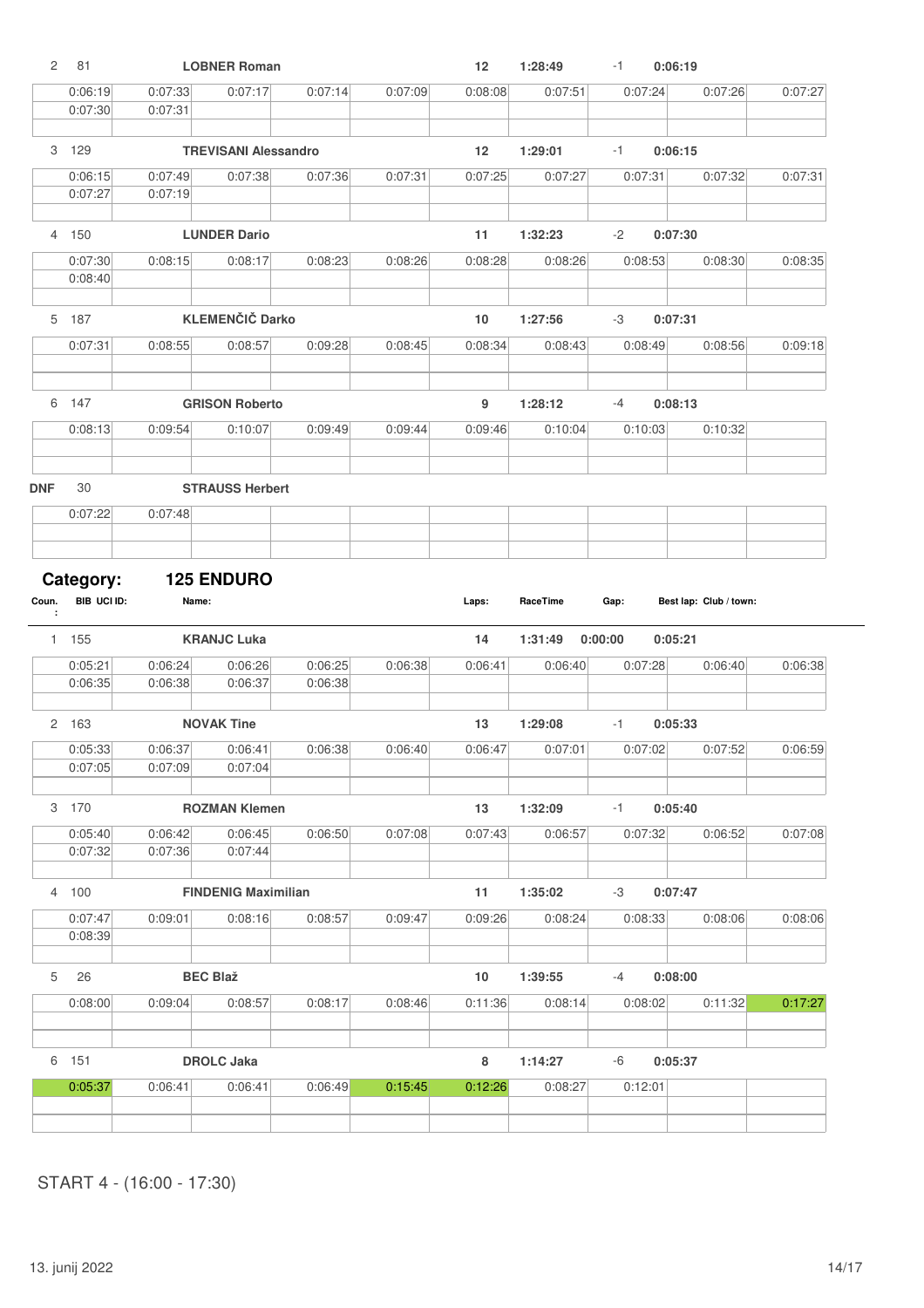|            | 81                 |                    | <b>LOBNER Roman</b>         |                    |         | 12      | 1:28:49  | -1      | 0:06:19                |         |         |
|------------|--------------------|--------------------|-----------------------------|--------------------|---------|---------|----------|---------|------------------------|---------|---------|
|            | 0:06:19<br>0:07:30 | 0:07:33<br>0:07:31 | 0:07:17                     | 0:07:14            | 0:07:09 | 0:08:08 | 0:07:51  | 0:07:24 |                        | 0:07:26 | 0:07:27 |
|            | 3 129              |                    | <b>TREVISANI Alessandro</b> |                    |         | 12      | 1:29:01  | -1      | 0:06:15                |         |         |
|            | 0:06:15<br>0:07:27 | 0:07:49<br>0:07:19 | 0:07:38                     | 0:07:36            | 0:07:31 | 0:07:25 | 0:07:27  | 0:07:31 |                        | 0:07:32 | 0:07:31 |
| 4          | 150                |                    | <b>LUNDER Dario</b>         |                    |         | 11      | 1:32:23  | $-2$    | 0:07:30                |         |         |
|            | 0:07:30            | 0:08:15            | 0:08:17                     | 0:08:23            | 0:08:26 | 0:08:28 | 0:08:26  | 0:08:53 |                        | 0:08:30 | 0:08:35 |
|            | 0:08:40            |                    |                             |                    |         |         |          |         |                        |         |         |
|            | 5 187              |                    | <b>KLEMENČIČ Darko</b>      |                    |         | 10      | 1:27:56  | -3      | 0:07:31                |         |         |
|            | 0:07:31            | 0:08:55            | 0:08:57                     | 0:09:28            | 0:08:45 | 0:08:34 | 0:08:43  | 0:08:49 |                        | 0:08:56 | 0:09:18 |
|            | 6 147              |                    | <b>GRISON Roberto</b>       |                    |         | 9       | 1:28:12  | $-4$    | 0:08:13                |         |         |
|            | 0:08:13            | 0:09:54            | 0:10:07                     | 0:09:49            | 0:09:44 | 0:09:46 | 0:10:04  | 0:10:03 |                        | 0:10:32 |         |
| <b>DNF</b> | 30                 |                    | <b>STRAUSS Herbert</b>      |                    |         |         |          |         |                        |         |         |
|            | 0:07:22            | 0:07:48            |                             |                    |         |         |          |         |                        |         |         |
|            |                    |                    |                             |                    |         |         |          |         |                        |         |         |
| Coun.      | Category:          |                    | <b>125 ENDURO</b>           |                    |         |         |          |         |                        |         |         |
| ÷          | BIB UCI ID:        | Name:              |                             |                    |         | Laps:   | RaceTime | Gap:    | Best lap: Club / town: |         |         |
|            | 1 155              |                    | <b>KRANJC Luka</b>          |                    |         | 14      | 1:31:49  | 0:00:00 | 0:05:21                |         |         |
|            | 0:05:21<br>0:06:35 | 0:06:24<br>0:06:38 | 0:06:26<br>0:06:37          | 0:06:25<br>0:06:38 | 0:06:38 | 0:06:41 | 0:06:40  | 0:07:28 |                        | 0:06:40 | 0:06:38 |
|            |                    |                    |                             |                    |         |         |          |         |                        |         |         |
|            | 2 163              |                    | <b>NOVAK Tine</b>           |                    |         | 13      | 1:29:08  | -1      | 0:05:33                |         |         |
|            | 0:05:33<br>0:07:05 | 0:06:37<br>0:07:09 | 0:06:41<br>0:07:04          | 0:06:38            | 0:06:40 | 0:06:47 | 0:07:01  | 0:07:02 |                        | 0:07:52 | 0:06:59 |
|            | 3 170              |                    | <b>ROZMAN Klemen</b>        |                    |         | 13      | 1:32:09  | $-1$    | 0:05:40                |         |         |
|            | 0:05:40<br>0:07:32 | 0:06:42<br>0:07:36 | 0:06:45<br>0:07:44          | 0:06:50            | 0:07:08 | 0:07:43 | 0:06:57  | 0:07:32 |                        | 0:06:52 | 0:07:08 |
|            | 4 100              |                    | <b>FINDENIG Maximilian</b>  |                    |         | 11      | 1:35:02  | -3      | 0:07:47                |         |         |
|            | 0:07:47            | 0:09:01            | 0:08:16                     | 0:08:57            | 0:09:47 | 0:09:26 | 0:08:24  | 0:08:33 |                        | 0:08:06 | 0:08:06 |
|            | 0:08:39            |                    |                             |                    |         |         |          |         |                        |         |         |
| 5          | 26                 |                    | <b>BEC Blaž</b>             |                    |         | 10      | 1:39:55  | $-4$    | 0:08:00                |         |         |
|            | 0:08:00            | 0:09:04            | 0:08:57                     | 0:08:17            | 0:08:46 | 0:11:36 | 0:08:14  | 0:08:02 |                        | 0:11:32 | 0:17:27 |
|            | 6 151              |                    | <b>DROLC Jaka</b>           |                    |         | 8       | 1:14:27  | -6      | 0:05:37                |         |         |
|            | 0:05:37            | 0:06:41            | 0:06:41                     | 0:06:49            | 0:15:45 | 0:12:26 | 0:08:27  | 0:12:01 |                        |         |         |
|            |                    |                    |                             |                    |         |         |          |         |                        |         |         |

START 4 - (16:00 - 17:30)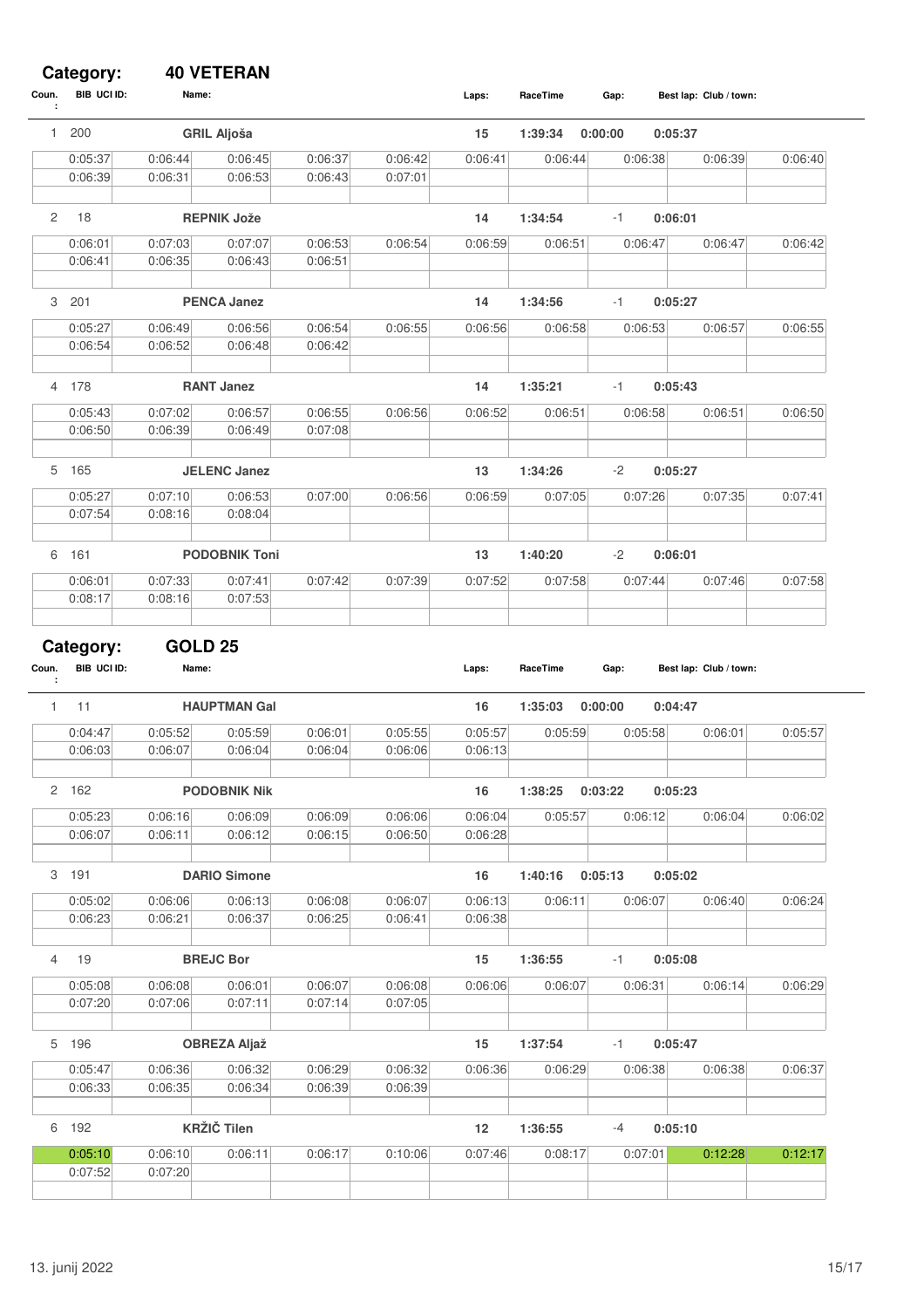#### **Category: 40 VETERAN**

| Coun.<br>÷   | BIB UCI ID:        | Name:              |                      |                    |                    | Laps:   | RaceTime | Gap:    |         | Best lap: Club / town: |         |
|--------------|--------------------|--------------------|----------------------|--------------------|--------------------|---------|----------|---------|---------|------------------------|---------|
| 1.           | 200                |                    | <b>GRIL Aljoša</b>   |                    |                    | 15      | 1:39:34  | 0:00:00 | 0:05:37 |                        |         |
|              | 0:05:37            | 0:06:44            | 0:06:45              | 0:06:37            | 0:06:42            | 0:06:41 | 0:06:44  | 0:06:38 |         | 0:06:39                | 0:06:40 |
|              | 0:06:39            | 0:06:31            | 0:06:53              | 0:06:43            | 0:07:01            |         |          |         |         |                        |         |
|              |                    |                    |                      |                    |                    |         |          |         |         |                        |         |
| 2            | 18                 |                    | <b>REPNIK Jože</b>   |                    |                    | 14      | 1:34:54  | -1      | 0:06:01 |                        |         |
|              | 0:06:01            | 0:07:03            | 0:07:07              | 0:06:53            | 0:06:54            | 0:06:59 | 0:06:51  | 0:06:47 |         | 0:06:47                | 0:06:42 |
|              | 0:06:41            | 0:06:35            | 0:06:43              | 0:06:51            |                    |         |          |         |         |                        |         |
|              |                    |                    |                      |                    |                    |         |          |         |         |                        |         |
|              | 3 201              |                    | <b>PENCA Janez</b>   |                    |                    | 14      | 1:34:56  | -1      | 0:05:27 |                        |         |
|              | 0:05:27            | 0:06:49            | 0:06:56              | 0:06:54            | 0:06:55            | 0:06:56 | 0:06:58  | 0:06:53 |         | 0:06:57                | 0:06:55 |
|              | 0:06:54            | 0:06:52            | 0:06:48              | 0:06:42            |                    |         |          |         |         |                        |         |
|              |                    |                    |                      |                    |                    |         |          |         |         |                        |         |
|              | 4 178              |                    | <b>RANT Janez</b>    |                    |                    | 14      | 1:35:21  | -1      | 0:05:43 |                        |         |
|              | 0:05:43            | 0:07:02            | 0:06:57              | 0:06:55            | 0:06:56            | 0:06:52 | 0:06:51  | 0:06:58 |         | 0:06:51                | 0:06:50 |
|              | 0:06:50            | 0:06:39            | 0:06:49              | 0:07:08            |                    |         |          |         |         |                        |         |
|              |                    |                    |                      |                    |                    |         |          |         |         |                        |         |
|              | 5 165              |                    | <b>JELENC Janez</b>  |                    |                    | 13      | 1:34:26  | $-2$    | 0:05:27 |                        |         |
|              | 0:05:27            | 0:07:10            | 0:06:53              | 0:07:00            | 0:06:56            | 0:06:59 | 0:07:05  | 0:07:26 |         | 0:07:35                | 0:07:41 |
|              | 0:07:54            | 0:08:16            | 0:08:04              |                    |                    |         |          |         |         |                        |         |
|              |                    |                    |                      |                    |                    |         |          |         |         |                        |         |
| 6            | 161                |                    | <b>PODOBNIK Toni</b> |                    |                    | 13      | 1:40:20  | $-2$    | 0:06:01 |                        |         |
|              | 0:06:01            | 0:07:33            | 0:07:41              | 0:07:42            | 0:07:39            | 0:07:52 | 0:07:58  | 0:07:44 |         | 0:07:46                | 0:07:58 |
|              | 0:08:17            | 0:08:16            | 0:07:53              |                    |                    |         |          |         |         |                        |         |
|              |                    |                    |                      |                    |                    |         |          |         |         |                        |         |
|              | Category:          | <b>GOLD 25</b>     |                      |                    |                    |         |          |         |         |                        |         |
| Coun.        | BIB UCI ID:        | Name:              |                      |                    |                    | Laps:   | RaceTime | Gap:    |         | Best lap: Club / town: |         |
| ÷            |                    |                    |                      |                    |                    |         |          |         |         |                        |         |
| $\mathbf{1}$ | 11                 |                    | <b>HAUPTMAN Gal</b>  |                    |                    | 16      | 1:35:03  | 0:00:00 | 0:04:47 |                        |         |
|              | 0:04:47            | 0:05:52            | 0:05:59              | 0:06:01            | 0:05:55            | 0:05:57 | 0:05:59  | 0:05:58 |         | 0:06:01                | 0:05:57 |
|              | 0:06:03            | 0:06:07            | 0:06:04              | 0:06:04            | 0:06:06            | 0:06:13 |          |         |         |                        |         |
|              |                    |                    |                      |                    |                    |         |          |         |         |                        |         |
|              | 2 162              |                    | <b>PODOBNIK Nik</b>  |                    |                    | 16      | 1:38:25  | 0:03:22 | 0:05:23 |                        |         |
|              | 0:05:23            | 0:06:16            | 0:06:09              | 0:06:09            | 0:06:06            | 0:06:04 | 0:05:57  | 0:06:12 |         | 0:06:04                | 0:06:02 |
|              | 0:06:07            | 0:06:11            | 0:06:12              | 0:06:15            | 0:06:50            | 0:06:28 |          |         |         |                        |         |
|              |                    |                    |                      |                    |                    |         |          |         |         |                        |         |
|              |                    |                    |                      |                    |                    |         |          |         |         |                        |         |
|              | 3 191              |                    | <b>DARIO Simone</b>  |                    |                    | 16      | 1:40:16  | 0:05:13 | 0:05:02 |                        |         |
|              | 0:05:02            | 0:06:06            | 0:06:13              | 0:06:08            | 0:06:07            | 0:06:13 | 0:06:11  | 0:06:07 |         | 0:06:40                | 0:06:24 |
|              | 0:06:23            | 0:06:21            | 0:06:37              | 0:06:25            | 0:06:41            | 0:06:38 |          |         |         |                        |         |
|              |                    |                    |                      |                    |                    |         |          |         |         |                        |         |
| 4            | 19                 |                    | <b>BREJC Bor</b>     |                    |                    | 15      | 1:36:55  | $-1$    | 0:05:08 |                        |         |
|              | 0:05:08            | 0:06:08            | 0:06:01              | 0:06:07            | 0:06:08            | 0:06:06 | 0:06:07  | 0:06:31 |         | 0:06:14                | 0:06:29 |
|              | 0:07:20            | 0:07:06            | 0:07:11              | 0:07:14            | 0:07:05            |         |          |         |         |                        |         |
|              |                    |                    |                      |                    |                    |         |          |         |         |                        |         |
|              | 5 196              |                    | <b>OBREZA Aljaž</b>  |                    |                    | 15      | 1:37:54  | -1      | 0:05:47 |                        |         |
|              |                    |                    |                      |                    |                    |         |          |         |         |                        |         |
|              | 0:05:47<br>0:06:33 | 0:06:36<br>0:06:35 | 0:06:32<br>0:06:34   | 0:06:29<br>0:06:39 | 0:06:32<br>0:06:39 | 0:06:36 | 0:06:29  | 0:06:38 |         | 0:06:38                | 0:06:37 |
|              |                    |                    |                      |                    |                    |         |          |         |         |                        |         |
|              | 6 192              |                    | <b>KRŽIČ Tilen</b>   |                    |                    | 12      | 1:36:55  | $-4$    | 0:05:10 |                        |         |
|              |                    |                    |                      |                    |                    |         |          |         |         |                        |         |
|              | 0:05:10<br>0:07:52 | 0:06:10<br>0:07:20 | 0:06:11              | 0:06:17            | 0:10:06            | 0:07:46 | 0:08:17  | 0:07:01 |         | 0:12:28                | 0:12:17 |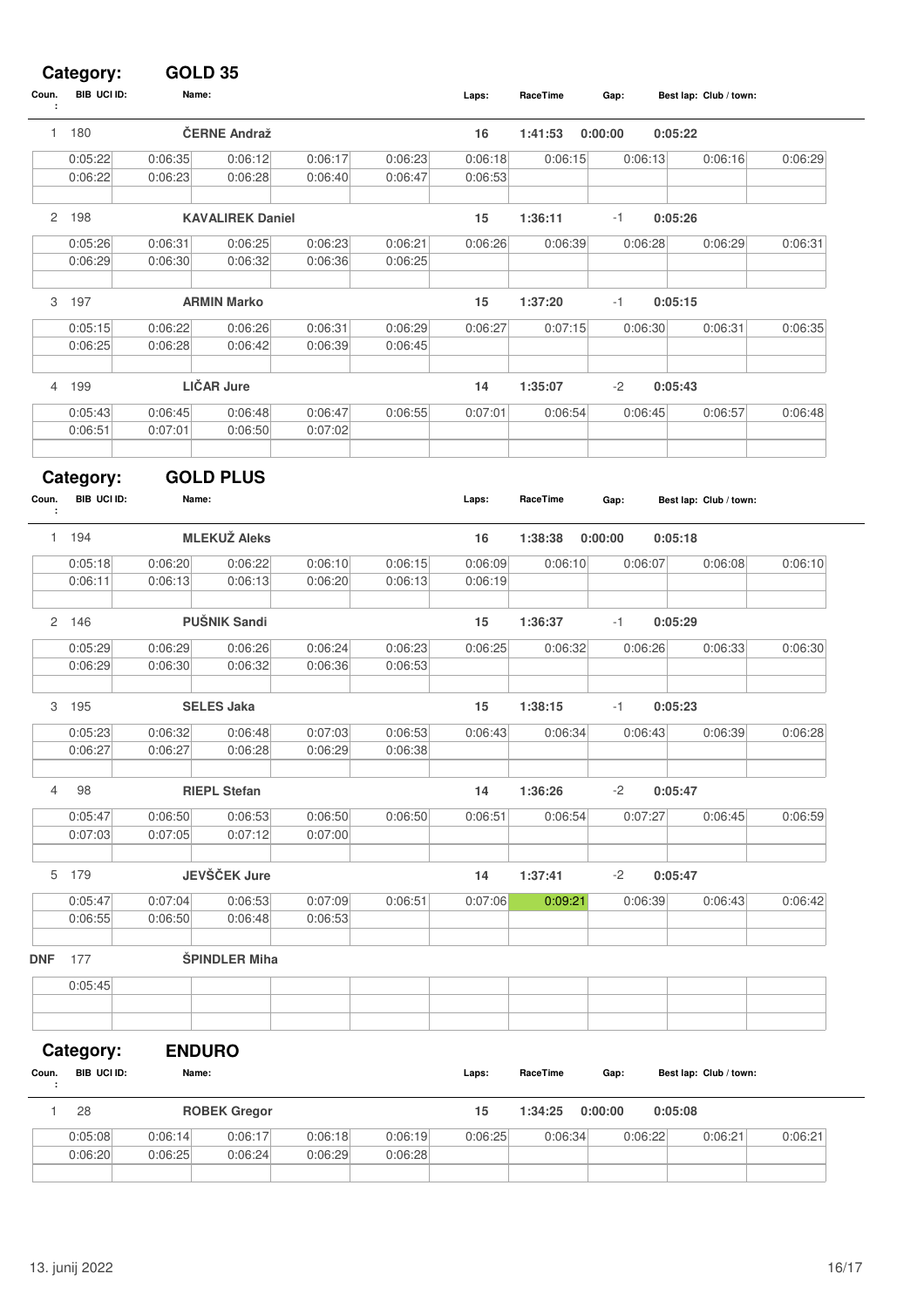#### **Category: GOLD 35**

| Coun.<br>÷ | BIB UCI ID:              | Name:                  |                         |                    |                    | Laps:   | RaceTime | Gap:    |         | Best lap: Club / town: |         |
|------------|--------------------------|------------------------|-------------------------|--------------------|--------------------|---------|----------|---------|---------|------------------------|---------|
|            | 1 180                    |                        | ČERNE Andraž            |                    |                    | 16      | 1:41:53  | 0:00:00 | 0:05:22 |                        |         |
|            | 0:05:22                  | 0:06:35                | 0:06:12                 | 0:06:17            | 0:06:23            | 0:06:18 | 0:06:15  | 0:06:13 |         | 0:06:16                | 0:06:29 |
|            | 0:06:22                  | 0:06:23                | 0:06:28                 | 0:06:40            | 0:06:47            | 0:06:53 |          |         |         |                        |         |
|            | 2 198                    |                        | <b>KAVALIREK Daniel</b> |                    |                    | 15      | 1:36:11  | $-1$    | 0:05:26 |                        |         |
|            |                          |                        |                         |                    |                    |         |          |         |         |                        |         |
|            | 0:05:26<br>0:06:29       | 0:06:31<br>0:06:30     | 0:06:25<br>0:06:32      | 0:06:23<br>0:06:36 | 0:06:21<br>0:06:25 | 0:06:26 | 0:06:39  | 0:06:28 |         | 0:06:29                | 0:06:31 |
|            |                          |                        |                         |                    |                    |         |          |         |         |                        |         |
| 3          | 197                      |                        | <b>ARMIN Marko</b>      |                    |                    | 15      | 1:37:20  | $-1$    | 0:05:15 |                        |         |
|            | 0:05:15                  | 0:06:22                | 0:06:26                 | 0:06:31            | 0:06:29            | 0:06:27 | 0:07:15  | 0:06:30 |         | 0:06:31                | 0:06:35 |
|            | 0:06:25                  | 0:06:28                | 0:06:42                 | 0:06:39            | 0:06:45            |         |          |         |         |                        |         |
|            |                          |                        |                         |                    |                    |         |          |         |         |                        |         |
| 4          | 199                      |                        | <b>LIČAR Jure</b>       |                    |                    | 14      | 1:35:07  | $-2$    | 0:05:43 |                        |         |
|            | 0:05:43                  | 0:06:45                | 0:06:48                 | 0:06:47            | 0:06:55            | 0:07:01 | 0:06:54  | 0:06:45 |         | 0:06:57                | 0:06:48 |
|            | 0:06:51                  | 0:07:01                | 0:06:50                 | 0:07:02            |                    |         |          |         |         |                        |         |
|            |                          |                        |                         |                    |                    |         |          |         |         |                        |         |
|            | Category:                |                        | <b>GOLD PLUS</b>        |                    |                    |         |          |         |         |                        |         |
| Coun.<br>÷ | <b>BIB UCI ID:</b>       | Name:                  |                         |                    |                    | Laps:   | RaceTime | Gap:    |         | Best lap: Club / town: |         |
|            | 1 194                    |                        | <b>MLEKUŽ Aleks</b>     |                    |                    | 16      | 1:38:38  | 0:00:00 | 0:05:18 |                        |         |
|            | 0:05:18                  | 0:06:20                | 0:06:22                 | 0:06:10            | 0:06:15            | 0:06:09 | 0:06:10  | 0:06:07 |         | 0:06:08                | 0:06:10 |
|            | 0:06:11                  | 0:06:13                | 0:06:13                 | 0:06:20            | 0:06:13            | 0:06:19 |          |         |         |                        |         |
|            |                          |                        |                         |                    |                    |         |          |         |         |                        |         |
|            | 2 146                    |                        | <b>PUŠNIK Sandi</b>     |                    |                    | 15      | 1:36:37  | $-1$    | 0:05:29 |                        |         |
|            | 0:05:29                  | 0:06:29                | 0:06:26                 | 0:06:24            | 0:06:23            | 0:06:25 | 0:06:32  | 0:06:26 |         | 0:06:33                | 0:06:30 |
|            | 0:06:29                  | 0:06:30                | 0:06:32                 | 0:06:36            | 0:06:53            |         |          |         |         |                        |         |
| 3          | 195                      |                        | <b>SELES Jaka</b>       |                    |                    | 15      | 1:38:15  | $-1$    | 0:05:23 |                        |         |
|            | 0:05:23                  | 0:06:32                | 0:06:48                 | 0:07:03            | 0:06:53            | 0:06:43 | 0:06:34  | 0:06:43 |         | 0:06:39                | 0:06:28 |
|            | 0:06:27                  | 0:06:27                | 0:06:28                 | 0:06:29            | 0:06:38            |         |          |         |         |                        |         |
|            |                          |                        |                         |                    |                    |         |          |         |         |                        |         |
| 4          | 98                       |                        | <b>RIEPL Stefan</b>     |                    |                    | 14      | 1:36:26  | $-2$    | 0:05:47 |                        |         |
|            | 0:05:47                  | 0:06:50                | 0:06:53                 | 0:06:50            | 0:06:50            | 0:06:51 | 0:06:54  | 0:07:27 |         | 0:06:45                | 0:06:59 |
|            | 0:07:03                  | 0:07:05                | 0:07:12                 | 0:07:00            |                    |         |          |         |         |                        |         |
|            | 5 179                    |                        | JEVŠČEK Jure            |                    |                    | 14      | 1:37:41  | $-2$    | 0:05:47 |                        |         |
|            | 0:05:47                  | 0:07:04                | 0:06:53                 | 0:07:09            | 0:06:51            | 0:07:06 | 0:09:21  | 0:06:39 |         | 0:06:43                | 0:06:42 |
|            | 0:06:55                  | 0:06:50                | 0:06:48                 | 0:06:53            |                    |         |          |         |         |                        |         |
|            |                          |                        |                         |                    |                    |         |          |         |         |                        |         |
| <b>DNF</b> | 177                      |                        | ŠPINDLER Miha           |                    |                    |         |          |         |         |                        |         |
|            | 0:05:45                  |                        |                         |                    |                    |         |          |         |         |                        |         |
|            |                          |                        |                         |                    |                    |         |          |         |         |                        |         |
|            |                          |                        |                         |                    |                    |         |          |         |         |                        |         |
| Coun.      | Category:<br>BIB UCI ID: | <b>ENDURO</b><br>Name: |                         |                    |                    | Laps:   | RaceTime | Gap:    |         | Best lap: Club / town: |         |
| ÷          |                          |                        |                         |                    |                    |         |          |         |         |                        |         |
| 1          | 28                       |                        | <b>ROBEK Gregor</b>     |                    |                    | 15      | 1:34:25  | 0:00:00 | 0:05:08 |                        |         |
|            |                          |                        |                         |                    |                    |         |          |         |         |                        |         |